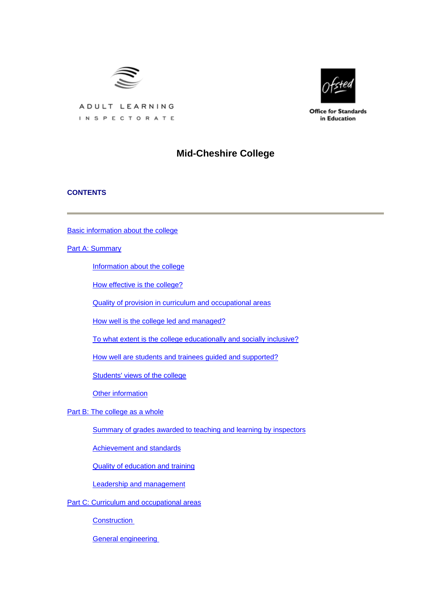



**Office for Standards** in Education

# ADULT LEARNING INSPECTORATE

# **Mid-Cheshire College**

# **CONTENTS**

[Basic information about the college](#page-1-0)

[Part A: Summary](#page-1-0)

[Information about the college](#page-2-0)

[How effective is the college?](#page-2-0)

[Quality of provision in curriculum and occupational areas](#page-3-0)

[How well is the college led and managed?](#page-4-0)

[To what extent is the college educationally and socially inclusive?](#page-5-0)

[How well are students and trainees guided and supported?](#page-5-0)

[Students' views of the college](#page-5-0)

[Other information](#page-7-0)

[Part B: The college as a whole](#page-7-0)

[Summary of grades awarded to teaching and learning by inspectors](#page-7-0)

[Achievement and standards](#page-7-0)

[Quality of education and training](#page-9-0)

[Leadership and management](#page-11-0)

[Part C: Curriculum and occupational areas](#page-13-0)

**[Construction](#page-13-0)** 

[General engineering](#page-16-0)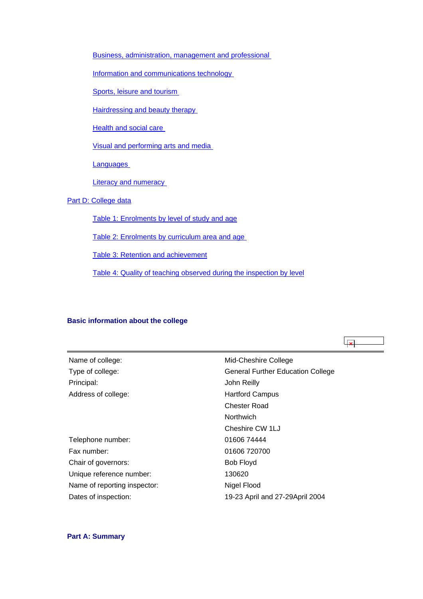<span id="page-1-0"></span>[Business, administration, management and professional](#page-19-0) 

[Information and communications technology](#page-22-0) 

[Sports, leisure and tourism](#page-24-0)

[Hairdressing and beauty therapy](#page-27-0) 

[Health and social care](#page-30-0) 

[Visual and performing arts and media](#page-33-0) 

**Languages** 

**Literacy and numeracy** 

# [Part D: College data](#page-41-0)

[Table 1: Enrolments by level of study and age](#page-41-0)

[Table 2: Enrolments by curriculum area and age](#page-41-0) 

[Table 3: Retention and achievement](#page-42-0)

[Table 4: Quality of teaching observed during the inspection by level](#page-43-0)

#### **Basic information about the college**

 $\vert \times \vert$ Name of college: Mid-Cheshire College Type of college: General Further Education College Principal: John Reilly Address of college: Hartford Campus Chester Road **Northwich** Cheshire CW 1LJ Telephone number: 01606 74444 Fax number: 01606 720700 Chair of governors: Bob Floyd Unique reference number: 130620 Name of reporting inspector: Nigel Flood Dates of inspection: 19-23 April and 27-29April 2004

### **Part A: Summary**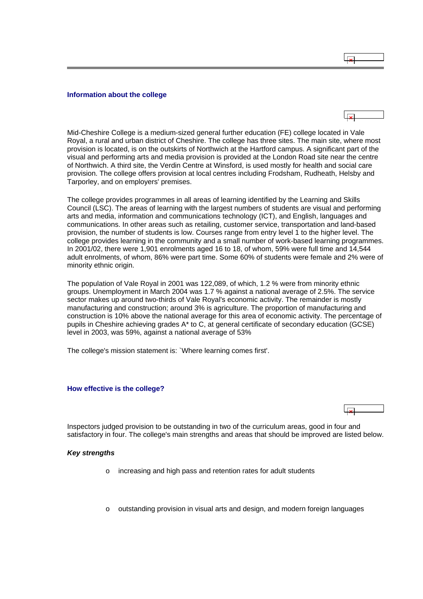#### <span id="page-2-0"></span>**Information about the college**

 $\overline{R}$ 

Mid-Cheshire College is a medium-sized general further education (FE) college located in Vale Royal, a rural and urban district of Cheshire. The college has three sites. The main site, where most provision is located, is on the outskirts of Northwich at the Hartford campus. A significant part of the visual and performing arts and media provision is provided at the London Road site near the centre of Northwich. A third site, the Verdin Centre at Winsford, is used mostly for health and social care provision. The college offers provision at local centres including Frodsham, Rudheath, Helsby and Tarporley, and on employers' premises.

The college provides programmes in all areas of learning identified by the Learning and Skills Council (LSC). The areas of learning with the largest numbers of students are visual and performing arts and media, information and communications technology (ICT), and English, languages and communications. In other areas such as retailing, customer service, transportation and land-based provision, the number of students is low. Courses range from entry level 1 to the higher level. The college provides learning in the community and a small number of work-based learning programmes. In 2001/02, there were 1,901 enrolments aged 16 to 18, of whom, 59% were full time and 14,544 adult enrolments, of whom, 86% were part time. Some 60% of students were female and 2% were of minority ethnic origin.

The population of Vale Royal in 2001 was 122,089, of which, 1.2 % were from minority ethnic groups. Unemployment in March 2004 was 1.7 % against a national average of 2.5%. The service sector makes up around two-thirds of Vale Royal's economic activity. The remainder is mostly manufacturing and construction; around 3% is agriculture. The proportion of manufacturing and construction is 10% above the national average for this area of economic activity. The percentage of pupils in Cheshire achieving grades A\* to C, at general certificate of secondary education (GCSE) level in 2003, was 59%, against a national average of 53%

The college's mission statement is: *`*Where learning comes first'.

#### **How effective is the college?**



Inspectors judged provision to be outstanding in two of the curriculum areas, good in four and satisfactory in four. The college's main strengths and areas that should be improved are listed below.

#### *Key strengths*

- o increasing and high pass and retention rates for adult students
- $\circ$  outstanding provision in visual arts and design, and modern foreign languages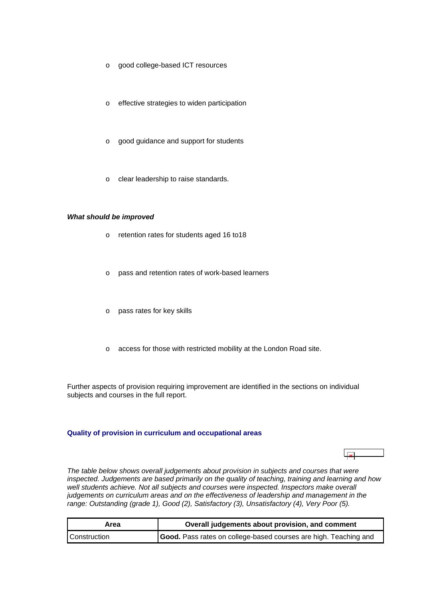- <span id="page-3-0"></span>o good college-based ICT resources
- o effective strategies to widen participation
- o good guidance and support for students
- o clear leadership to raise standards.

### *What should be improved*

- o retention rates for students aged 16 to18
- o pass and retention rates of work-based learners
- o pass rates for key skills
- o access for those with restricted mobility at the London Road site.

Further aspects of provision requiring improvement are identified in the sections on individual subjects and courses in the full report.

### **Quality of provision in curriculum and occupational areas**

ابوليا

*The table below shows overall judgements about provision in subjects and courses that were inspected. Judgements are based primarily on the quality of teaching, training and learning and how*  well students achieve. Not all subjects and courses were inspected. Inspectors make overall *judgements on curriculum areas and on the effectiveness of leadership and management in the range: Outstanding (grade 1), Good (2), Satisfactory (3), Unsatisfactory (4), Very Poor (5).*

| Area         | Overall judgements about provision, and comment                  |
|--------------|------------------------------------------------------------------|
| Construction | Good. Pass rates on college-based courses are high. Teaching and |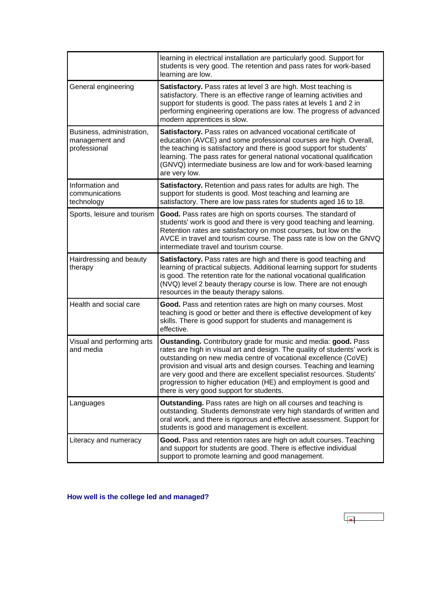<span id="page-4-0"></span>

|                                                             | learning in electrical installation are particularly good. Support for<br>students is very good. The retention and pass rates for work-based<br>learning are low.                                                                                                                                                                                                                                                                                                             |
|-------------------------------------------------------------|-------------------------------------------------------------------------------------------------------------------------------------------------------------------------------------------------------------------------------------------------------------------------------------------------------------------------------------------------------------------------------------------------------------------------------------------------------------------------------|
| General engineering                                         | Satisfactory. Pass rates at level 3 are high. Most teaching is<br>satisfactory. There is an effective range of learning activities and<br>support for students is good. The pass rates at levels 1 and 2 in<br>performing engineering operations are low. The progress of advanced<br>modern apprentices is slow.                                                                                                                                                             |
| Business, administration,<br>management and<br>professional | Satisfactory. Pass rates on advanced vocational certificate of<br>education (AVCE) and some professional courses are high. Overall,<br>the teaching is satisfactory and there is good support for students'<br>learning. The pass rates for general national vocational qualification<br>(GNVQ) intermediate business are low and for work-based learning<br>are very low.                                                                                                    |
| Information and<br>communications<br>technology             | Satisfactory. Retention and pass rates for adults are high. The<br>support for students is good. Most teaching and learning are<br>satisfactory. There are low pass rates for students aged 16 to 18.                                                                                                                                                                                                                                                                         |
| Sports, leisure and tourism                                 | Good. Pass rates are high on sports courses. The standard of<br>students' work is good and there is very good teaching and learning.<br>Retention rates are satisfactory on most courses, but low on the<br>AVCE in travel and tourism course. The pass rate is low on the GNVQ<br>intermediate travel and tourism course.                                                                                                                                                    |
| Hairdressing and beauty<br>therapy                          | Satisfactory. Pass rates are high and there is good teaching and<br>learning of practical subjects. Additional learning support for students<br>is good. The retention rate for the national vocational qualification<br>(NVQ) level 2 beauty therapy course is low. There are not enough<br>resources in the beauty therapy salons.                                                                                                                                          |
| Health and social care                                      | Good. Pass and retention rates are high on many courses. Most<br>teaching is good or better and there is effective development of key<br>skills. There is good support for students and management is<br>effective.                                                                                                                                                                                                                                                           |
| Visual and performing arts<br>and media                     | Oustanding. Contributory grade for music and media: good. Pass<br>rates are high in visual art and design. The quality of students' work is<br>outstanding on new media centre of vocational excellence (CoVE)<br>provision and visual arts and design courses. Teaching and learning<br>are very good and there are excellent specialist resources. Students'<br>progression to higher education (HE) and employment is good and<br>there is very good support for students. |
| Languages                                                   | Outstanding. Pass rates are high on all courses and teaching is<br>outstanding. Students demonstrate very high standards of written and<br>oral work, and there is rigorous and effective assessment. Support for<br>students is good and management is excellent.                                                                                                                                                                                                            |
| Literacy and numeracy                                       | Good. Pass and retention rates are high on adult courses. Teaching<br>and support for students are good. There is effective individual<br>support to promote learning and good management.                                                                                                                                                                                                                                                                                    |

**How well is the college led and managed?**

 $\overline{\mathbf{x}}$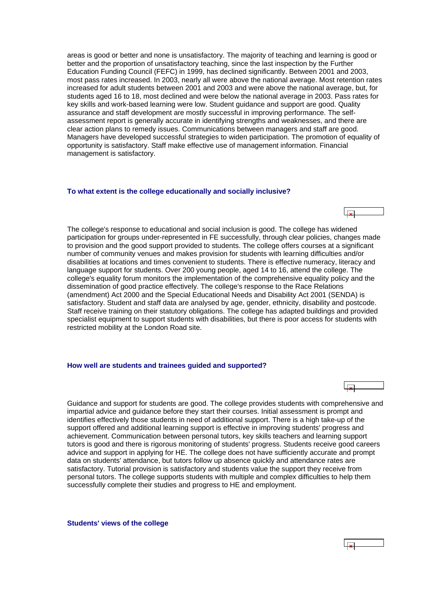<span id="page-5-0"></span>areas is good or better and none is unsatisfactory. The majority of teaching and learning is good or better and the proportion of unsatisfactory teaching, since the last inspection by the Further Education Funding Council (FEFC) in 1999, has declined significantly. Between 2001 and 2003, most pass rates increased. In 2003, nearly all were above the national average. Most retention rates increased for adult students between 2001 and 2003 and were above the national average, but, for students aged 16 to 18, most declined and were below the national average in 2003. Pass rates for key skills and work-based learning were low. Student guidance and support are good. Quality assurance and staff development are mostly successful in improving performance. The selfassessment report is generally accurate in identifying strengths and weaknesses, and there are clear action plans to remedy issues. Communications between managers and staff are good. Managers have developed successful strategies to widen participation. The promotion of equality of opportunity is satisfactory. Staff make effective use of management information. Financial management is satisfactory.

#### **To what extent is the college educationally and socially inclusive?**

The college's response to educational and social inclusion is good. The college has widened participation for groups under-represented in FE successfully, through clear policies, changes made to provision and the good support provided to students. The college offers courses at a significant number of community venues and makes provision for students with learning difficulties and/or disabilities at locations and times convenient to students. There is effective numeracy, literacy and language support for students. Over 200 young people, aged 14 to 16, attend the college. The college's equality forum monitors the implementation of the comprehensive equality policy and the dissemination of good practice effectively. The college's response to the Race Relations (amendment) Act 2000 and the Special Educational Needs and Disability Act 2001 (SENDA) is satisfactory. Student and staff data are analysed by age, gender, ethnicity, disability and postcode. Staff receive training on their statutory obligations. The college has adapted buildings and provided specialist equipment to support students with disabilities, but there is poor access for students with restricted mobility at the London Road site.

#### **How well are students and trainees guided and supported?**

Guidance and support for students are good. The college provides students with comprehensive and impartial advice and guidance before they start their courses. Initial assessment is prompt and identifies effectively those students in need of additional support. There is a high take-up of the support offered and additional learning support is effective in improving students' progress and achievement. Communication between personal tutors, key skills teachers and learning support tutors is good and there is rigorous monitoring of students' progress. Students receive good careers advice and support in applying for HE. The college does not have sufficiently accurate and prompt data on students' attendance, but tutors follow up absence quickly and attendance rates are satisfactory. Tutorial provision is satisfactory and students value the support they receive from personal tutors. The college supports students with multiple and complex difficulties to help them successfully complete their studies and progress to HE and employment.

**Students' views of the college**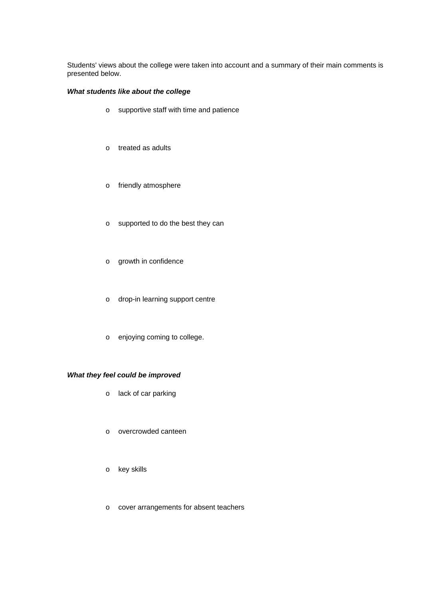Students' views about the college were taken into account and a summary of their main comments is presented below.

### *What students like about the college*

- o supportive staff with time and patience
- o treated as adults
- o friendly atmosphere
- o supported to do the best they can
- o growth in confidence
- o drop-in learning support centre
- o enjoying coming to college.

# *What they feel could be improved*

- o lack of car parking
- o overcrowded canteen
- o key skills
- o cover arrangements for absent teachers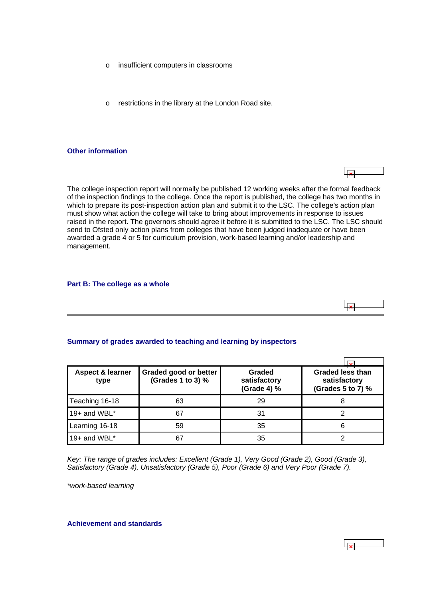- <span id="page-7-0"></span>o insufficient computers in classrooms
- o restrictions in the library at the London Road site.

### **Other information**

The college inspection report will normally be published 12 working weeks after the formal feedback of the inspection findings to the college. Once the report is published, the college has two months in which to prepare its post-inspection action plan and submit it to the LSC. The college's action plan must show what action the college will take to bring about improvements in response to issues raised in the report. The governors should agree it before it is submitted to the LSC. The LSC should send to Ofsted only action plans from colleges that have been judged inadequate or have been awarded a grade 4 or 5 for curriculum provision, work-based learning and/or leadership and management.

### **Part B: The college as a whole**

### **Summary of grades awarded to teaching and learning by inspectors**

| <b>Aspect &amp; learner</b><br>type | Graded good or better<br>(Grades 1 to 3) % | Graded<br>satisfactory<br>(Grade 4) % | <b>Graded less than</b><br>satisfactory<br>(Grades 5 to 7) % |
|-------------------------------------|--------------------------------------------|---------------------------------------|--------------------------------------------------------------|
| Teaching 16-18                      | 63                                         | 29                                    | 8                                                            |
| 19+ and WBL*                        | 67                                         | 31                                    |                                                              |
| Learning 16-18                      | 59                                         | 35                                    | 6                                                            |
| 19+ and WBL $*$                     | 67                                         | 35                                    |                                                              |

*Key: The range of grades includes: Excellent (Grade 1), Very Good (Grade 2), Good (Grade 3), Satisfactory (Grade 4), Unsatisfactory (Grade 5), Poor (Grade 6) and Very Poor (Grade 7).*

*\*work-based learning*

**Achievement and standards**



 $\overline{1}$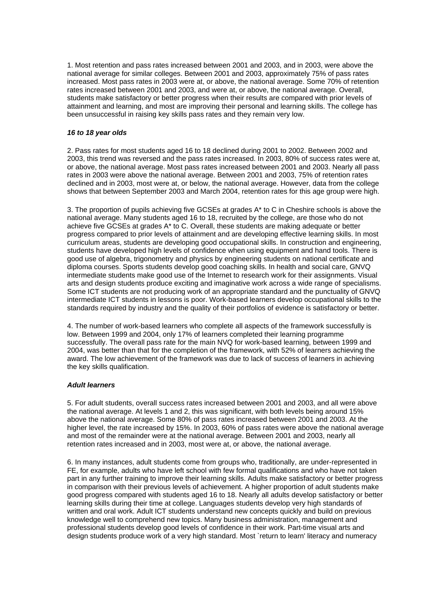1. Most retention and pass rates increased between 2001 and 2003, and in 2003, were above the national average for similar colleges. Between 2001 and 2003, approximately 75% of pass rates increased. Most pass rates in 2003 were at, or above, the national average. Some 70% of retention rates increased between 2001 and 2003, and were at, or above, the national average. Overall, students make satisfactory or better progress when their results are compared with prior levels of attainment and learning, and most are improving their personal and learning skills. The college has been unsuccessful in raising key skills pass rates and they remain very low.

### *16 to 18 year olds*

2. Pass rates for most students aged 16 to 18 declined during 2001 to 2002. Between 2002 and 2003, this trend was reversed and the pass rates increased. In 2003, 80% of success rates were at, or above, the national average. Most pass rates increased between 2001 and 2003. Nearly all pass rates in 2003 were above the national average. Between 2001 and 2003, 75% of retention rates declined and in 2003, most were at, or below, the national average. However, data from the college shows that between September 2003 and March 2004, retention rates for this age group were high.

3. The proportion of pupils achieving five GCSEs at grades A\* to C in Cheshire schools is above the national average. Many students aged 16 to 18, recruited by the college, are those who do not achieve five GCSEs at grades A\* to C. Overall, these students are making adequate or better progress compared to prior levels of attainment and are developing effective learning skills. In most curriculum areas, students are developing good occupational skills. In construction and engineering, students have developed high levels of confidence when using equipment and hand tools. There is good use of algebra, trigonometry and physics by engineering students on national certificate and diploma courses. Sports students develop good coaching skills. In health and social care, GNVQ intermediate students make good use of the Internet to research work for their assignments. Visual arts and design students produce exciting and imaginative work across a wide range of specialisms. Some ICT students are not producing work of an appropriate standard and the punctuality of GNVQ intermediate ICT students in lessons is poor. Work-based learners develop occupational skills to the standards required by industry and the quality of their portfolios of evidence is satisfactory or better.

4. The number of work-based learners who complete all aspects of the framework successfully is low. Between 1999 and 2004, only 17% of learners completed their learning programme successfully. The overall pass rate for the main NVQ for work-based learning, between 1999 and 2004, was better than that for the completion of the framework, with 52% of learners achieving the award. The low achievement of the framework was due to lack of success of learners in achieving the key skills qualification.

### *Adult learners*

5. For adult students, overall success rates increased between 2001 and 2003, and all were above the national average. At levels 1 and 2, this was significant, with both levels being around 15% above the national average. Some 80% of pass rates increased between 2001 and 2003. At the higher level, the rate increased by 15%. In 2003, 60% of pass rates were above the national average and most of the remainder were at the national average. Between 2001 and 2003, nearly all retention rates increased and in 2003, most were at, or above, the national average.

6. In many instances, adult students come from groups who, traditionally, are under-represented in FE, for example, adults who have left school with few formal qualifications and who have not taken part in any further training to improve their learning skills. Adults make satisfactory or better progress in comparison with their previous levels of achievement. A higher proportion of adult students make good progress compared with students aged 16 to 18. Nearly all adults develop satisfactory or better learning skills during their time at college. Languages students develop very high standards of written and oral work. Adult ICT students understand new concepts quickly and build on previous knowledge well to comprehend new topics. Many business administration, management and professional students develop good levels of confidence in their work. Part-time visual arts and design students produce work of a very high standard. Most `return to learn' literacy and numeracy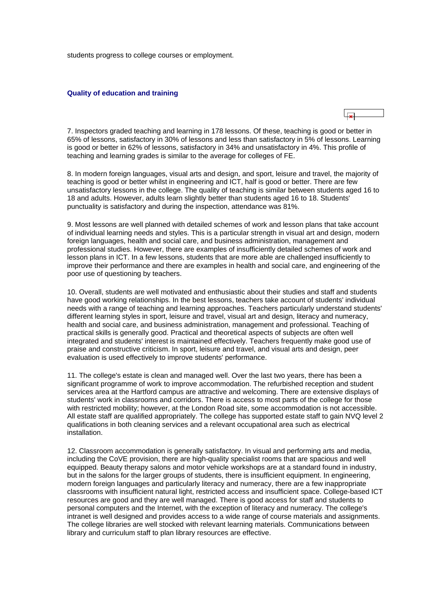<span id="page-9-0"></span>students progress to college courses or employment.

#### **Quality of education and training**

7. Inspectors graded teaching and learning in 178 lessons. Of these, teaching is good or better in 65% of lessons, satisfactory in 30% of lessons and less than satisfactory in 5% of lessons. Learning is good or better in 62% of lessons, satisfactory in 34% and unsatisfactory in 4%. This profile of teaching and learning grades is similar to the average for colleges of FE.

8. In modern foreign languages, visual arts and design, and sport, leisure and travel, the majority of teaching is good or better whilst in engineering and ICT, half is good or better. There are few unsatisfactory lessons in the college. The quality of teaching is similar between students aged 16 to 18 and adults. However, adults learn slightly better than students aged 16 to 18. Students' punctuality is satisfactory and during the inspection, attendance was 81%.

9. Most lessons are well planned with detailed schemes of work and lesson plans that take account of individual learning needs and styles. This is a particular strength in visual art and design, modern foreign languages, health and social care, and business administration, management and professional studies. However, there are examples of insufficiently detailed schemes of work and lesson plans in ICT. In a few lessons, students that are more able are challenged insufficiently to improve their performance and there are examples in health and social care, and engineering of the poor use of questioning by teachers.

10. Overall, students are well motivated and enthusiastic about their studies and staff and students have good working relationships. In the best lessons, teachers take account of students' individual needs with a range of teaching and learning approaches. Teachers particularly understand students' different learning styles in sport, leisure and travel, visual art and design, literacy and numeracy, health and social care, and business administration, management and professional. Teaching of practical skills is generally good. Practical and theoretical aspects of subjects are often well integrated and students' interest is maintained effectively. Teachers frequently make good use of praise and constructive criticism. In sport, leisure and travel, and visual arts and design, peer evaluation is used effectively to improve students' performance.

11. The college's estate is clean and managed well. Over the last two years, there has been a significant programme of work to improve accommodation. The refurbished reception and student services area at the Hartford campus are attractive and welcoming. There are extensive displays of students' work in classrooms and corridors. There is access to most parts of the college for those with restricted mobility; however, at the London Road site, some accommodation is not accessible. All estate staff are qualified appropriately. The college has supported estate staff to gain NVQ level 2 qualifications in both cleaning services and a relevant occupational area such as electrical installation.

12. Classroom accommodation is generally satisfactory. In visual and performing arts and media, including the CoVE provision, there are high-quality specialist rooms that are spacious and well equipped. Beauty therapy salons and motor vehicle workshops are at a standard found in industry, but in the salons for the larger groups of students, there is insufficient equipment. In engineering, modern foreign languages and particularly literacy and numeracy, there are a few inappropriate classrooms with insufficient natural light, restricted access and insufficient space. College-based ICT resources are good and they are well managed. There is good access for staff and students to personal computers and the Internet, with the exception of literacy and numeracy. The college's intranet is well designed and provides access to a wide range of course materials and assignments. The college libraries are well stocked with relevant learning materials. Communications between library and curriculum staff to plan library resources are effective.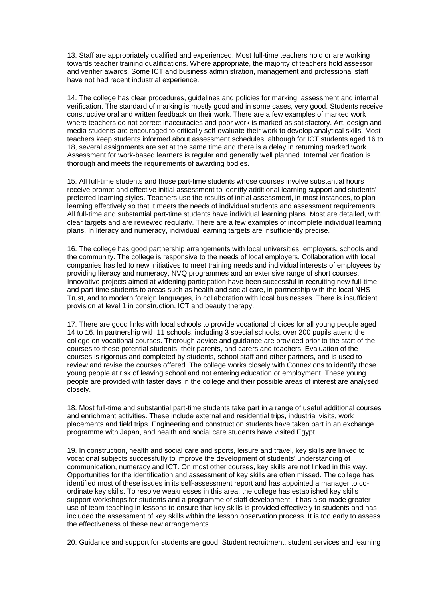13. Staff are appropriately qualified and experienced. Most full-time teachers hold or are working towards teacher training qualifications. Where appropriate, the majority of teachers hold assessor and verifier awards. Some ICT and business administration, management and professional staff have not had recent industrial experience.

14. The college has clear procedures, guidelines and policies for marking, assessment and internal verification. The standard of marking is mostly good and in some cases, very good. Students receive constructive oral and written feedback on their work. There are a few examples of marked work where teachers do not correct inaccuracies and poor work is marked as satisfactory. Art, design and media students are encouraged to critically self-evaluate their work to develop analytical skills. Most teachers keep students informed about assessment schedules, although for ICT students aged 16 to 18, several assignments are set at the same time and there is a delay in returning marked work. Assessment for work-based learners is regular and generally well planned. Internal verification is thorough and meets the requirements of awarding bodies.

15. All full-time students and those part-time students whose courses involve substantial hours receive prompt and effective initial assessment to identify additional learning support and students' preferred learning styles. Teachers use the results of initial assessment, in most instances, to plan learning effectively so that it meets the needs of individual students and assessment requirements. All full-time and substantial part-time students have individual learning plans. Most are detailed, with clear targets and are reviewed regularly. There are a few examples of incomplete individual learning plans. In literacy and numeracy, individual learning targets are insufficiently precise.

16. The college has good partnership arrangements with local universities, employers, schools and the community. The college is responsive to the needs of local employers. Collaboration with local companies has led to new initiatives to meet training needs and individual interests of employees by providing literacy and numeracy, NVQ programmes and an extensive range of short courses. Innovative projects aimed at widening participation have been successful in recruiting new full-time and part-time students to areas such as health and social care, in partnership with the local NHS Trust, and to modern foreign languages, in collaboration with local businesses. There is insufficient provision at level 1 in construction, ICT and beauty therapy.

17. There are good links with local schools to provide vocational choices for all young people aged 14 to 16. In partnership with 11 schools, including 3 special schools, over 200 pupils attend the college on vocational courses. Thorough advice and guidance are provided prior to the start of the courses to these potential students, their parents, and carers and teachers. Evaluation of the courses is rigorous and completed by students, school staff and other partners, and is used to review and revise the courses offered. The college works closely with Connexions to identify those young people at risk of leaving school and not entering education or employment. These young people are provided with taster days in the college and their possible areas of interest are analysed closely.

18. Most full-time and substantial part-time students take part in a range of useful additional courses and enrichment activities. These include external and residential trips, industrial visits, work placements and field trips. Engineering and construction students have taken part in an exchange programme with Japan, and health and social care students have visited Egypt.

19. In construction, health and social care and sports, leisure and travel, key skills are linked to vocational subjects successfully to improve the development of students' understanding of communication, numeracy and ICT. On most other courses, key skills are not linked in this way. Opportunities for the identification and assessment of key skills are often missed. The college has identified most of these issues in its self-assessment report and has appointed a manager to coordinate key skills. To resolve weaknesses in this area, the college has established key skills support workshops for students and a programme of staff development. It has also made greater use of team teaching in lessons to ensure that key skills is provided effectively to students and has included the assessment of key skills within the lesson observation process. It is too early to assess the effectiveness of these new arrangements.

20. Guidance and support for students are good. Student recruitment, student services and learning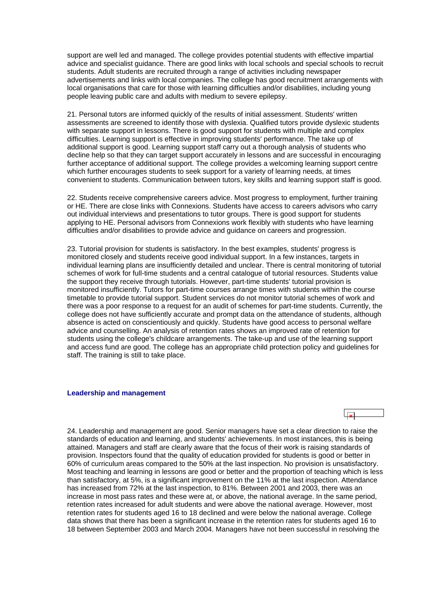<span id="page-11-0"></span>support are well led and managed. The college provides potential students with effective impartial advice and specialist guidance. There are good links with local schools and special schools to recruit students. Adult students are recruited through a range of activities including newspaper advertisements and links with local companies. The college has good recruitment arrangements with local organisations that care for those with learning difficulties and/or disabilities, including young people leaving public care and adults with medium to severe epilepsy.

21. Personal tutors are informed quickly of the results of initial assessment. Students' written assessments are screened to identify those with dyslexia. Qualified tutors provide dyslexic students with separate support in lessons. There is good support for students with multiple and complex difficulties. Learning support is effective in improving students' performance. The take up of additional support is good. Learning support staff carry out a thorough analysis of students who decline help so that they can target support accurately in lessons and are successful in encouraging further acceptance of additional support. The college provides a welcoming learning support centre which further encourages students to seek support for a variety of learning needs, at times convenient to students. Communication between tutors, key skills and learning support staff is good.

22. Students receive comprehensive careers advice. Most progress to employment, further training or HE. There are close links with Connexions. Students have access to careers advisors who carry out individual interviews and presentations to tutor groups. There is good support for students applying to HE. Personal advisors from Connexions work flexibly with students who have learning difficulties and/or disabilities to provide advice and guidance on careers and progression.

23. Tutorial provision for students is satisfactory. In the best examples, students' progress is monitored closely and students receive good individual support. In a few instances, targets in individual learning plans are insufficiently detailed and unclear. There is central monitoring of tutorial schemes of work for full-time students and a central catalogue of tutorial resources. Students value the support they receive through tutorials. However, part-time students' tutorial provision is monitored insufficiently. Tutors for part-time courses arrange times with students within the course timetable to provide tutorial support. Student services do not monitor tutorial schemes of work and there was a poor response to a request for an audit of schemes for part-time students. Currently, the college does not have sufficiently accurate and prompt data on the attendance of students, although absence is acted on conscientiously and quickly. Students have good access to personal welfare advice and counselling. An analysis of retention rates shows an improved rate of retention for students using the college's childcare arrangements. The take-up and use of the learning support and access fund are good. The college has an appropriate child protection policy and guidelines for staff. The training is still to take place.

#### **Leadership and management**

24. Leadership and management are good. Senior managers have set a clear direction to raise the standards of education and learning, and students' achievements. In most instances, this is being attained. Managers and staff are clearly aware that the focus of their work is raising standards of provision. Inspectors found that the quality of education provided for students is good or better in 60% of curriculum areas compared to the 50% at the last inspection. No provision is unsatisfactory. Most teaching and learning in lessons are good or better and the proportion of teaching which is less than satisfactory, at 5%, is a significant improvement on the 11% at the last inspection. Attendance has increased from 72% at the last inspection, to 81%. Between 2001 and 2003, there was an increase in most pass rates and these were at, or above, the national average. In the same period, retention rates increased for adult students and were above the national average. However, most retention rates for students aged 16 to 18 declined and were below the national average. College data shows that there has been a significant increase in the retention rates for students aged 16 to 18 between September 2003 and March 2004. Managers have not been successful in resolving the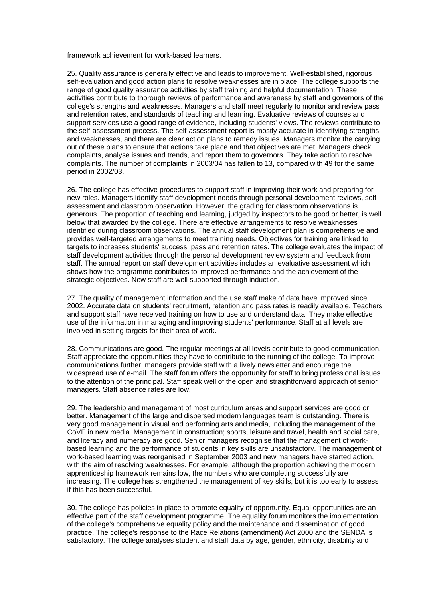framework achievement for work-based learners.

25. Quality assurance is generally effective and leads to improvement. Well-established, rigorous self-evaluation and good action plans to resolve weaknesses are in place. The college supports the range of good quality assurance activities by staff training and helpful documentation. These activities contribute to thorough reviews of performance and awareness by staff and governors of the college's strengths and weaknesses. Managers and staff meet regularly to monitor and review pass and retention rates, and standards of teaching and learning. Evaluative reviews of courses and support services use a good range of evidence, including students' views. The reviews contribute to the self-assessment process. The self-assessment report is mostly accurate in identifying strengths and weaknesses, and there are clear action plans to remedy issues. Managers monitor the carrying out of these plans to ensure that actions take place and that objectives are met. Managers check complaints, analyse issues and trends, and report them to governors. They take action to resolve complaints. The number of complaints in 2003/04 has fallen to 13, compared with 49 for the same period in 2002/03.

26. The college has effective procedures to support staff in improving their work and preparing for new roles. Managers identify staff development needs through personal development reviews, selfassessment and classroom observation. However, the grading for classroom observations is generous. The proportion of teaching and learning, judged by inspectors to be good or better, is well below that awarded by the college. There are effective arrangements to resolve weaknesses identified during classroom observations. The annual staff development plan is comprehensive and provides well-targeted arrangements to meet training needs. Objectives for training are linked to targets to increases students' success, pass and retention rates. The college evaluates the impact of staff development activities through the personal development review system and feedback from staff. The annual report on staff development activities includes an evaluative assessment which shows how the programme contributes to improved performance and the achievement of the strategic objectives. New staff are well supported through induction.

27. The quality of management information and the use staff make of data have improved since 2002. Accurate data on students' recruitment, retention and pass rates is readily available. Teachers and support staff have received training on how to use and understand data. They make effective use of the information in managing and improving students' performance. Staff at all levels are involved in setting targets for their area of work.

28. Communications are good. The regular meetings at all levels contribute to good communication. Staff appreciate the opportunities they have to contribute to the running of the college. To improve communications further, managers provide staff with a lively newsletter and encourage the widespread use of e-mail. The staff forum offers the opportunity for staff to bring professional issues to the attention of the principal. Staff speak well of the open and straightforward approach of senior managers. Staff absence rates are low.

29. The leadership and management of most curriculum areas and support services are good or better. Management of the large and dispersed modern languages team is outstanding. There is very good management in visual and performing arts and media, including the management of the CoVE in new media. Management in construction; sports, leisure and travel, health and social care, and literacy and numeracy are good. Senior managers recognise that the management of workbased learning and the performance of students in key skills are unsatisfactory. The management of work-based learning was reorganised in September 2003 and new managers have started action, with the aim of resolving weaknesses. For example, although the proportion achieving the modern apprenticeship framework remains low, the numbers who are completing successfully are increasing. The college has strengthened the management of key skills, but it is too early to assess if this has been successful.

30. The college has policies in place to promote equality of opportunity. Equal opportunities are an effective part of the staff development programme. The equality forum monitors the implementation of the college's comprehensive equality policy and the maintenance and dissemination of good practice. The college's response to the Race Relations (amendment) Act 2000 and the SENDA is satisfactory. The college analyses student and staff data by age, gender, ethnicity, disability and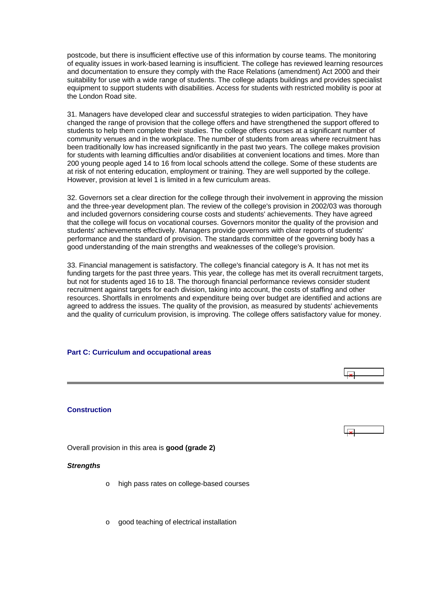<span id="page-13-0"></span>postcode, but there is insufficient effective use of this information by course teams. The monitoring of equality issues in work-based learning is insufficient. The college has reviewed learning resources and documentation to ensure they comply with the Race Relations (amendment) Act 2000 and their suitability for use with a wide range of students. The college adapts buildings and provides specialist equipment to support students with disabilities. Access for students with restricted mobility is poor at the London Road site.

31. Managers have developed clear and successful strategies to widen participation. They have changed the range of provision that the college offers and have strengthened the support offered to students to help them complete their studies. The college offers courses at a significant number of community venues and in the workplace. The number of students from areas where recruitment has been traditionally low has increased significantly in the past two years. The college makes provision for students with learning difficulties and/or disabilities at convenient locations and times. More than 200 young people aged 14 to 16 from local schools attend the college. Some of these students are at risk of not entering education, employment or training. They are well supported by the college. However, provision at level 1 is limited in a few curriculum areas.

32. Governors set a clear direction for the college through their involvement in approving the mission and the three-year development plan. The review of the college's provision in 2002/03 was thorough and included governors considering course costs and students' achievements. They have agreed that the college will focus on vocational courses. Governors monitor the quality of the provision and students' achievements effectively. Managers provide governors with clear reports of students' performance and the standard of provision. The standards committee of the governing body has a good understanding of the main strengths and weaknesses of the college's provision.

33. Financial management is satisfactory. The college's financial category is A. It has not met its funding targets for the past three years. This year, the college has met its overall recruitment targets, but not for students aged 16 to 18. The thorough financial performance reviews consider student recruitment against targets for each division, taking into account, the costs of staffing and other resources. Shortfalls in enrolments and expenditure being over budget are identified and actions are agreed to address the issues. The quality of the provision, as measured by students' achievements and the quality of curriculum provision, is improving. The college offers satisfactory value for money.

 $\overline{\mathbf{r}}$ 

#### **Part C: Curriculum and occupational areas**

**Construction**

Overall provision in this area is **good (grade 2)**

#### *Strengths*

- o high pass rates on college-based courses
- o good teaching of electrical installation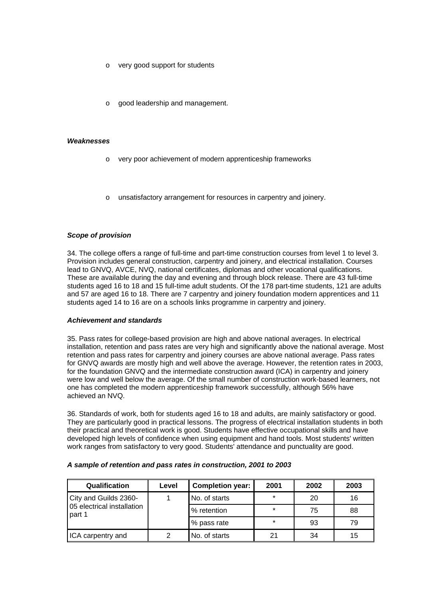- o very good support for students
- good leadership and management.

#### *Weaknesses*

- o very poor achievement of modern apprenticeship frameworks
- unsatisfactory arrangement for resources in carpentry and joinery.

### *Scope of provision*

34. The college offers a range of full-time and part-time construction courses from level 1 to level 3. Provision includes general construction, carpentry and joinery, and electrical installation. Courses lead to GNVQ, AVCE, NVQ, national certificates, diplomas and other vocational qualifications. These are available during the day and evening and through block release. There are 43 full-time students aged 16 to 18 and 15 full-time adult students. Of the 178 part-time students, 121 are adults and 57 are aged 16 to 18. There are 7 carpentry and joinery foundation modern apprentices and 11 students aged 14 to 16 are on a schools links programme in carpentry and joinery.

### *Achievement and standards*

35. Pass rates for college-based provision are high and above national averages. In electrical installation, retention and pass rates are very high and significantly above the national average. Most retention and pass rates for carpentry and joinery courses are above national average. Pass rates for GNVQ awards are mostly high and well above the average. However, the retention rates in 2003, for the foundation GNVQ and the intermediate construction award (ICA) in carpentry and joinery were low and well below the average. Of the small number of construction work-based learners, not one has completed the modern apprenticeship framework successfully, although 56% have achieved an NVQ.

36. Standards of work, both for students aged 16 to 18 and adults, are mainly satisfactory or good. They are particularly good in practical lessons. The progress of electrical installation students in both their practical and theoretical work is good. Students have effective occupational skills and have developed high levels of confidence when using equipment and hand tools. Most students' written work ranges from satisfactory to very good. Students' attendance and punctuality are good.

| Qualification                        | Level | <b>Completion year:</b> | 2001    | 2002 | 2003 |
|--------------------------------------|-------|-------------------------|---------|------|------|
| City and Guilds 2360-                |       | No. of starts           | $\star$ | 20   | 16   |
| 05 electrical installation<br>part 1 |       | % retention             | $\star$ | 75   | 88   |
|                                      |       | % pass rate             | $\star$ | 93   | 79   |
| ICA carpentry and                    | 2     | No. of starts           | 21      | 34   | 15   |

### *A sample of retention and pass rates in construction, 2001 to 2003*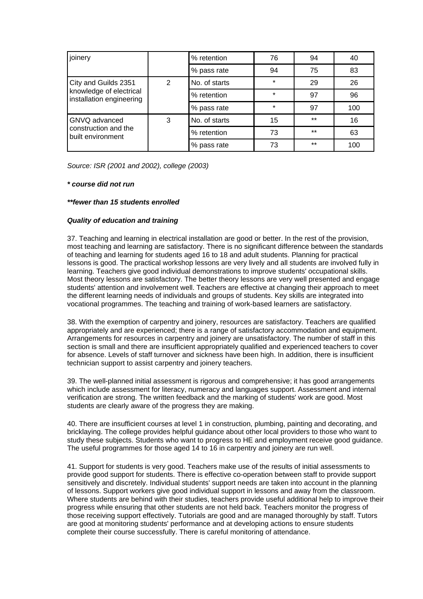| joinery                                             |   | % retention   | 76      | 94    | 40  |
|-----------------------------------------------------|---|---------------|---------|-------|-----|
|                                                     |   | % pass rate   | 94      | 75    | 83  |
| City and Guilds 2351                                | 2 | No. of starts | $\star$ | 29    | 26  |
| knowledge of electrical<br>installation engineering |   | % retention   | $\star$ | 97    | 96  |
|                                                     |   | % pass rate   | $\star$ | 97    | 100 |
| GNVQ advanced                                       | 3 | No. of starts | 15      | $***$ | 16  |
| construction and the<br>built environment           |   | % retention   | 73      | $***$ | 63  |
|                                                     |   | % pass rate   | 73      | $***$ | 100 |

*Source: ISR (2001 and 2002), college (2003)*

### *\* course did not run*

### *\*\*fewer than 15 students enrolled*

### *Quality of education and training*

37. Teaching and learning in electrical installation are good or better. In the rest of the provision, most teaching and learning are satisfactory. There is no significant difference between the standards of teaching and learning for students aged 16 to 18 and adult students. Planning for practical lessons is good. The practical workshop lessons are very lively and all students are involved fully in learning. Teachers give good individual demonstrations to improve students' occupational skills. Most theory lessons are satisfactory. The better theory lessons are very well presented and engage students' attention and involvement well. Teachers are effective at changing their approach to meet the different learning needs of individuals and groups of students. Key skills are integrated into vocational programmes. The teaching and training of work-based learners are satisfactory.

38. With the exemption of carpentry and joinery, resources are satisfactory. Teachers are qualified appropriately and are experienced; there is a range of satisfactory accommodation and equipment. Arrangements for resources in carpentry and joinery are unsatisfactory. The number of staff in this section is small and there are insufficient appropriately qualified and experienced teachers to cover for absence. Levels of staff turnover and sickness have been high. In addition, there is insufficient technician support to assist carpentry and joinery teachers.

39. The well-planned initial assessment is rigorous and comprehensive; it has good arrangements which include assessment for literacy, numeracy and languages support. Assessment and internal verification are strong. The written feedback and the marking of students' work are good. Most students are clearly aware of the progress they are making.

40. There are insufficient courses at level 1 in construction, plumbing, painting and decorating, and bricklaying. The college provides helpful guidance about other local providers to those who want to study these subjects. Students who want to progress to HE and employment receive good guidance. The useful programmes for those aged 14 to 16 in carpentry and joinery are run well.

41. Support for students is very good. Teachers make use of the results of initial assessments to provide good support for students. There is effective co-operation between staff to provide support sensitively and discretely. Individual students' support needs are taken into account in the planning of lessons. Support workers give good individual support in lessons and away from the classroom. Where students are behind with their studies, teachers provide useful additional help to improve their progress while ensuring that other students are not held back. Teachers monitor the progress of those receiving support effectively. Tutorials are good and are managed thoroughly by staff. Tutors are good at monitoring students' performance and at developing actions to ensure students complete their course successfully. There is careful monitoring of attendance.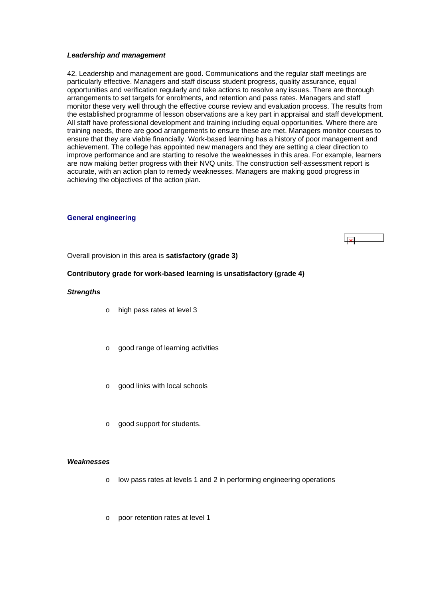#### <span id="page-16-0"></span>*Leadership and management*

42. Leadership and management are good. Communications and the regular staff meetings are particularly effective. Managers and staff discuss student progress, quality assurance, equal opportunities and verification regularly and take actions to resolve any issues. There are thorough arrangements to set targets for enrolments, and retention and pass rates. Managers and staff monitor these very well through the effective course review and evaluation process. The results from the established programme of lesson observations are a key part in appraisal and staff development. All staff have professional development and training including equal opportunities. Where there are training needs, there are good arrangements to ensure these are met. Managers monitor courses to ensure that they are viable financially. Work-based learning has a history of poor management and achievement. The college has appointed new managers and they are setting a clear direction to improve performance and are starting to resolve the weaknesses in this area. For example, learners are now making better progress with their NVQ units. The construction self-assessment report is accurate, with an action plan to remedy weaknesses. Managers are making good progress in achieving the objectives of the action plan.

### **General engineering**



Overall provision in this area is **satisfactory (grade 3)**

### **Contributory grade for work-based learning is unsatisfactory (grade 4)**

### *Strengths*

- o high pass rates at level 3
- o good range of learning activities
- o good links with local schools
- o good support for students.

#### *Weaknesses*

- o low pass rates at levels 1 and 2 in performing engineering operations
- o poor retention rates at level 1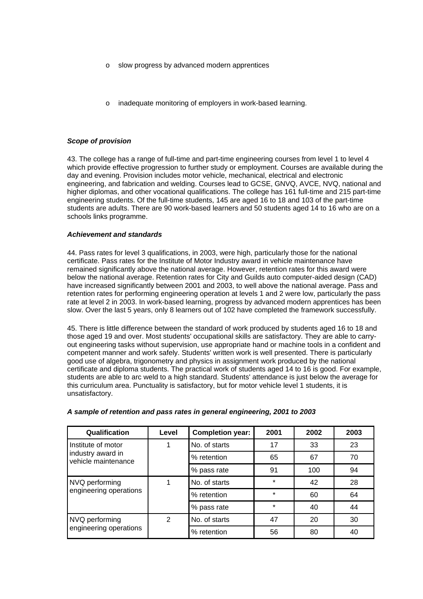- o slow progress by advanced modern apprentices
- inadequate monitoring of employers in work-based learning.

### *Scope of provision*

43. The college has a range of full-time and part-time engineering courses from level 1 to level 4 which provide effective progression to further study or employment. Courses are available during the day and evening. Provision includes motor vehicle, mechanical, electrical and electronic engineering, and fabrication and welding. Courses lead to GCSE, GNVQ, AVCE, NVQ, national and higher diplomas, and other vocational qualifications. The college has 161 full-time and 215 part-time engineering students. Of the full-time students, 145 are aged 16 to 18 and 103 of the part-time students are adults. There are 90 work-based learners and 50 students aged 14 to 16 who are on a schools links programme.

### *Achievement and standards*

44. Pass rates for level 3 qualifications, in 2003, were high, particularly those for the national certificate. Pass rates for the Institute of Motor Industry award in vehicle maintenance have remained significantly above the national average. However, retention rates for this award were below the national average. Retention rates for City and Guilds auto computer-aided design (CAD) have increased significantly between 2001 and 2003, to well above the national average. Pass and retention rates for performing engineering operation at levels 1 and 2 were low, particularly the pass rate at level 2 in 2003. In work-based learning, progress by advanced modern apprentices has been slow. Over the last 5 years, only 8 learners out of 102 have completed the framework successfully.

45. There is little difference between the standard of work produced by students aged 16 to 18 and those aged 19 and over. Most students' occupational skills are satisfactory. They are able to carryout engineering tasks without supervision, use appropriate hand or machine tools in a confident and competent manner and work safely. Students' written work is well presented. There is particularly good use of algebra, trigonometry and physics in assignment work produced by the national certificate and diploma students. The practical work of students aged 14 to 16 is good. For example, students are able to arc weld to a high standard. Students' attendance is just below the average for this curriculum area. Punctuality is satisfactory, but for motor vehicle level 1 students, it is unsatisfactory.

| Qualification                            | Level | <b>Completion year:</b> | 2001    | 2002 | 2003 |
|------------------------------------------|-------|-------------------------|---------|------|------|
| Institute of motor                       |       | No. of starts           | 17      | 33   | 23   |
| industry award in<br>vehicle maintenance |       | % retention             | 65      | 67   | 70   |
|                                          |       | % pass rate             | 91      | 100  | 94   |
| NVQ performing                           |       | No. of starts           | $\star$ | 42   | 28   |
| engineering operations                   |       | % retention             | $\star$ | 60   | 64   |
|                                          |       | % pass rate             | $\star$ | 40   | 44   |
| NVQ performing                           | 2     | No. of starts           | 47      | 20   | 30   |
| engineering operations                   |       | % retention             | 56      | 80   | 40   |

### *A sample of retention and pass rates in general engineering, 2001 to 2003*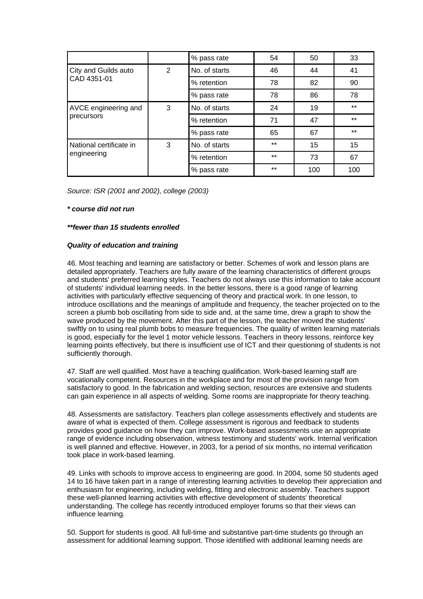|                         |   | % pass rate   | 54    | 50  | 33    |
|-------------------------|---|---------------|-------|-----|-------|
| City and Guilds auto    | 2 | No. of starts | 46    | 44  | 41    |
| CAD 4351-01             |   | % retention   | 78    | 82  | 90    |
|                         |   | % pass rate   | 78    | 86  | 78    |
| AVCE engineering and    | 3 | No. of starts | 24    | 19  | $***$ |
| precursors              |   | % retention   | 71    | 47  | $***$ |
|                         |   | % pass rate   | 65    | 67  | $***$ |
| National certificate in | 3 | No. of starts | $***$ | 15  | 15    |
| engineering             |   | % retention   | $***$ | 73  | 67    |
|                         |   | % pass rate   | $***$ | 100 | 100   |

*Source: ISR (2001 and 2002), college (2003)*

### *\* course did not run*

### *\*\*fewer than 15 students enrolled*

### *Quality of education and training*

46. Most teaching and learning are satisfactory or better. Schemes of work and lesson plans are detailed appropriately. Teachers are fully aware of the learning characteristics of different groups and students' preferred learning styles. Teachers do not always use this information to take account of students' individual learning needs. In the better lessons, there is a good range of learning activities with particularly effective sequencing of theory and practical work. In one lesson, to introduce oscillations and the meanings of amplitude and frequency, the teacher projected on to the screen a plumb bob oscillating from side to side and, at the same time, drew a graph to show the wave produced by the movement. After this part of the lesson, the teacher moved the students' swiftly on to using real plumb bobs to measure frequencies. The quality of written learning materials is good, especially for the level 1 motor vehicle lessons. Teachers in theory lessons, reinforce key learning points effectively, but there is insufficient use of ICT and their questioning of students is not sufficiently thorough.

47. Staff are well qualified. Most have a teaching qualification. Work-based learning staff are vocationally competent. Resources in the workplace and for most of the provision range from satisfactory to good. In the fabrication and welding section, resources are extensive and students can gain experience in all aspects of welding. Some rooms are inappropriate for theory teaching.

48. Assessments are satisfactory. Teachers plan college assessments effectively and students are aware of what is expected of them. College assessment is rigorous and feedback to students provides good guidance on how they can improve. Work-based assessments use an appropriate range of evidence including observation, witness testimony and students' work. Internal verification is well planned and effective. However, in 2003, for a period of six months, no internal verification took place in work-based learning.

49. Links with schools to improve access to engineering are good. In 2004, some 50 students aged 14 to 16 have taken part in a range of interesting learning activities to develop their appreciation and enthusiasm for engineering, including welding, fitting and electronic assembly. Teachers support these well-planned learning activities with effective development of students' theoretical understanding. The college has recently introduced employer forums so that their views can influence learning.

50. Support for students is good. All full-time and substantive part-time students go through an assessment for additional learning support. Those identified with additional learning needs are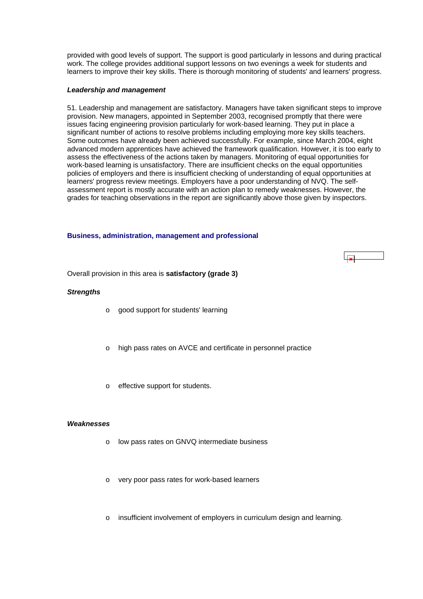<span id="page-19-0"></span>provided with good levels of support. The support is good particularly in lessons and during practical work. The college provides additional support lessons on two evenings a week for students and learners to improve their key skills. There is thorough monitoring of students' and learners' progress.

### *Leadership and management*

51. Leadership and management are satisfactory. Managers have taken significant steps to improve provision. New managers, appointed in September 2003, recognised promptly that there were issues facing engineering provision particularly for work-based learning. They put in place a significant number of actions to resolve problems including employing more key skills teachers. Some outcomes have already been achieved successfully. For example, since March 2004, eight advanced modern apprentices have achieved the framework qualification. However, it is too early to assess the effectiveness of the actions taken by managers. Monitoring of equal opportunities for work-based learning is unsatisfactory. There are insufficient checks on the equal opportunities policies of employers and there is insufficient checking of understanding of equal opportunities at learners' progress review meetings. Employers have a poor understanding of NVQ. The selfassessment report is mostly accurate with an action plan to remedy weaknesses. However, the grades for teaching observations in the report are significantly above those given by inspectors.

### **Business, administration, management and professional**



Overall provision in this area is **satisfactory (grade 3)**

### *Strengths*

- o good support for students' learning
- o high pass rates on AVCE and certificate in personnel practice
- o effective support for students.

### *Weaknesses*

- o low pass rates on GNVQ intermediate business
- o very poor pass rates for work-based learners
- o insufficient involvement of employers in curriculum design and learning.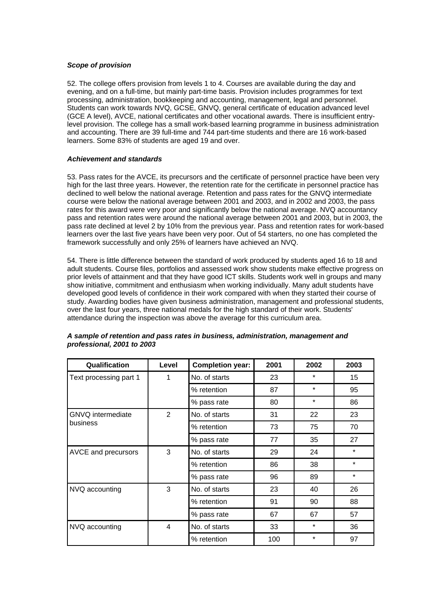### *Scope of provision*

52. The college offers provision from levels 1 to 4. Courses are available during the day and evening, and on a full-time, but mainly part-time basis. Provision includes programmes for text processing, administration, bookkeeping and accounting, management, legal and personnel. Students can work towards NVQ, GCSE, GNVQ, general certificate of education advanced level (GCE A level), AVCE, national certificates and other vocational awards. There is insufficient entrylevel provision. The college has a small work-based learning programme in business administration and accounting. There are 39 full-time and 744 part-time students and there are 16 work-based learners. Some 83% of students are aged 19 and over.

### *Achievement and standards*

53. Pass rates for the AVCE, its precursors and the certificate of personnel practice have been very high for the last three years. However, the retention rate for the certificate in personnel practice has declined to well below the national average. Retention and pass rates for the GNVQ intermediate course were below the national average between 2001 and 2003, and in 2002 and 2003, the pass rates for this award were very poor and significantly below the national average. NVQ accountancy pass and retention rates were around the national average between 2001 and 2003, but in 2003, the pass rate declined at level 2 by 10% from the previous year. Pass and retention rates for work-based learners over the last five years have been very poor. Out of 54 starters, no one has completed the framework successfully and only 25% of learners have achieved an NVQ.

54. There is little difference between the standard of work produced by students aged 16 to 18 and adult students. Course files, portfolios and assessed work show students make effective progress on prior levels of attainment and that they have good ICT skills. Students work well in groups and many show initiative, commitment and enthusiasm when working individually. Many adult students have developed good levels of confidence in their work compared with when they started their course of study. Awarding bodies have given business administration, management and professional students, over the last four years, three national medals for the high standard of their work. Students' attendance during the inspection was above the average for this curriculum area.

| Qualification            | Level          | <b>Completion year:</b> | 2001 | 2002    | 2003    |
|--------------------------|----------------|-------------------------|------|---------|---------|
| Text processing part 1   | 1              | No. of starts           | 23   | $\star$ | 15      |
|                          |                | % retention             | 87   | $\star$ | 95      |
|                          |                | % pass rate             | 80   | $\star$ | 86      |
| <b>GNVQ</b> intermediate | $\overline{2}$ | No. of starts           | 31   | 22      | 23      |
| business                 |                | % retention             | 73   | 75      | 70      |
|                          |                | % pass rate             | 77   | 35      | 27      |
| AVCE and precursors      | 3              | No. of starts           | 29   | 24      | $\star$ |
|                          |                | % retention             | 86   | 38      | $\star$ |
|                          |                | % pass rate             | 96   | 89      | $\star$ |
| NVQ accounting           | 3              | No. of starts           | 23   | 40      | 26      |
|                          |                | % retention             | 91   | 90      | 88      |
|                          |                | % pass rate             | 67   | 67      | 57      |
| NVQ accounting           | 4              | No. of starts           | 33   | $\star$ | 36      |
|                          |                | % retention             | 100  | $\star$ | 97      |

### *A sample of retention and pass rates in business, administration, management and professional, 2001 to 2003*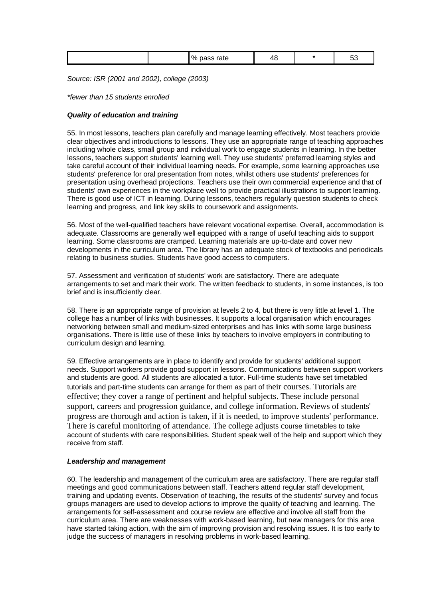|--|

*Source: ISR (2001 and 2002), college (2003)*

*\*fewer than 15 students enrolled*

#### *Quality of education and training*

55. In most lessons, teachers plan carefully and manage learning effectively. Most teachers provide clear objectives and introductions to lessons. They use an appropriate range of teaching approaches including whole class, small group and individual work to engage students in learning. In the better lessons, teachers support students' learning well. They use students' preferred learning styles and take careful account of their individual learning needs. For example, some learning approaches use students' preference for oral presentation from notes, whilst others use students' preferences for presentation using overhead projections. Teachers use their own commercial experience and that of students' own experiences in the workplace well to provide practical illustrations to support learning. There is good use of ICT in learning. During lessons, teachers regularly question students to check learning and progress, and link key skills to coursework and assignments.

56. Most of the well-qualified teachers have relevant vocational expertise. Overall, accommodation is adequate. Classrooms are generally well equipped with a range of useful teaching aids to support learning. Some classrooms are cramped. Learning materials are up-to-date and cover new developments in the curriculum area. The library has an adequate stock of textbooks and periodicals relating to business studies. Students have good access to computers.

57. Assessment and verification of students' work are satisfactory. There are adequate arrangements to set and mark their work. The written feedback to students, in some instances, is too brief and is insufficiently clear.

58. There is an appropriate range of provision at levels 2 to 4, but there is very little at level 1. The college has a number of links with businesses. It supports a local organisation which encourages networking between small and medium-sized enterprises and has links with some large business organisations. There is little use of these links by teachers to involve employers in contributing to curriculum design and learning.

59. Effective arrangements are in place to identify and provide for students' additional support needs. Support workers provide good support in lessons. Communications between support workers and students are good. All students are allocated a tutor. Full-time students have set timetabled tutorials and part-time students can arrange for them as part of their courses. Tutorials are effective; they cover a range of pertinent and helpful subjects. These include personal support, careers and progression guidance, and college information. Reviews of students' progress are thorough and action is taken, if it is needed, to improve students' performance. There is careful monitoring of attendance. The college adjusts course timetables to take account of students with care responsibilities. Student speak well of the help and support which they receive from staff.

### *Leadership and management*

60. The leadership and management of the curriculum area are satisfactory. There are regular staff meetings and good communications between staff. Teachers attend regular staff development, training and updating events. Observation of teaching, the results of the students' survey and focus groups managers are used to develop actions to improve the quality of teaching and learning. The arrangements for self-assessment and course review are effective and involve all staff from the curriculum area. There are weaknesses with work-based learning, but new managers for this area have started taking action, with the aim of improving provision and resolving issues. It is too early to judge the success of managers in resolving problems in work-based learning.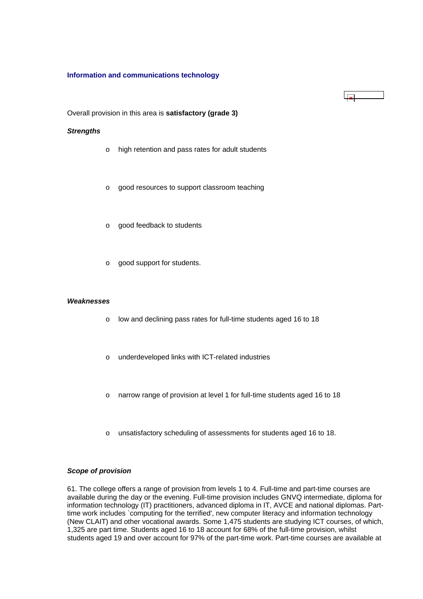### <span id="page-22-0"></span>**Information and communications technology**

 $\mathbf{r}$ 

Overall provision in this area is **satisfactory (grade 3)**

#### *Strengths*

- o high retention and pass rates for adult students
- o good resources to support classroom teaching
- o good feedback to students
- o good support for students.

#### *Weaknesses*

- o low and declining pass rates for full-time students aged 16 to 18
- o underdeveloped links with ICT-related industries
- o narrow range of provision at level 1 for full-time students aged 16 to 18
- o unsatisfactory scheduling of assessments for students aged 16 to 18.

### *Scope of provision*

61. The college offers a range of provision from levels 1 to 4. Full-time and part-time courses are available during the day or the evening. Full-time provision includes GNVQ intermediate, diploma for information technology (IT) practitioners, advanced diploma in IT, AVCE and national diplomas. Parttime work includes `computing for the terrified', new computer literacy and information technology (New CLAIT) and other vocational awards. Some 1,475 students are studying ICT courses, of which, 1,325 are part time. Students aged 16 to 18 account for 68% of the full-time provision, whilst students aged 19 and over account for 97% of the part-time work. Part-time courses are available at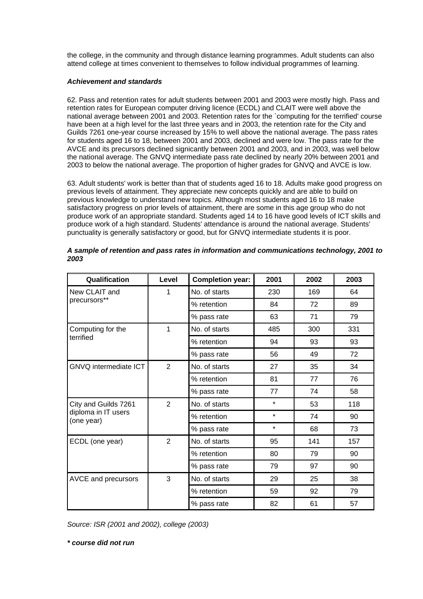the college, in the community and through distance learning programmes. Adult students can also attend college at times convenient to themselves to follow individual programmes of learning.

# *Achievement and standards*

62. Pass and retention rates for adult students between 2001 and 2003 were mostly high. Pass and retention rates for European computer driving licence (ECDL) and CLAIT were well above the national average between 2001 and 2003. Retention rates for the `computing for the terrified' course have been at a high level for the last three years and in 2003, the retention rate for the City and Guilds 7261 one-year course increased by 15% to well above the national average. The pass rates for students aged 16 to 18, between 2001 and 2003, declined and were low. The pass rate for the AVCE and its precursors declined signicantly between 2001 and 2003, and in 2003, was well below the national average. The GNVQ intermediate pass rate declined by nearly 20% between 2001 and 2003 to below the national average. The proportion of higher grades for GNVQ and AVCE is low.

63. Adult students' work is better than that of students aged 16 to 18. Adults make good progress on previous levels of attainment. They appreciate new concepts quickly and are able to build on previous knowledge to understand new topics. Although most students aged 16 to 18 make satisfactory progress on prior levels of attainment, there are some in this age group who do not produce work of an appropriate standard. Students aged 14 to 16 have good levels of ICT skills and produce work of a high standard. Students' attendance is around the national average. Students' punctuality is generally satisfactory or good, but for GNVQ intermediate students it is poor.

| Qualification                     | Level          | <b>Completion year:</b> | 2001    | 2002 | 2003 |
|-----------------------------------|----------------|-------------------------|---------|------|------|
| New CLAIT and                     | 1              | No. of starts           | 230     | 169  | 64   |
| precursors**                      |                | % retention             | 84      | 72   | 89   |
|                                   |                | % pass rate             | 63      | 71   | 79   |
| Computing for the                 | 1              | No. of starts           | 485     | 300  | 331  |
| terrified                         |                | % retention             | 94      | 93   | 93   |
|                                   |                | % pass rate             | 56      | 49   | 72   |
| GNVQ intermediate ICT             | $\overline{2}$ | No. of starts           | 27      | 35   | 34   |
|                                   |                | % retention             | 81      | 77   | 76   |
|                                   |                | % pass rate             | 77      | 74   | 58   |
| City and Guilds 7261              | 2              | No. of starts           | $\star$ | 53   | 118  |
| diploma in IT users<br>(one year) |                | % retention             | $\star$ | 74   | 90   |
|                                   |                | % pass rate             | $\star$ | 68   | 73   |
| ECDL (one year)                   | $\overline{2}$ | No. of starts           | 95      | 141  | 157  |
|                                   |                | % retention             | 80      | 79   | 90   |
|                                   |                | % pass rate             | 79      | 97   | 90   |
| AVCE and precursors               | 3              | No. of starts           | 29      | 25   | 38   |
|                                   |                | % retention             | 59      | 92   | 79   |
|                                   |                | % pass rate             | 82      | 61   | 57   |

| A sample of retention and pass rates in information and communications technology, 2001 to |  |
|--------------------------------------------------------------------------------------------|--|
| 2003                                                                                       |  |

*Source: ISR (2001 and 2002), college (2003)*

*\* course did not run*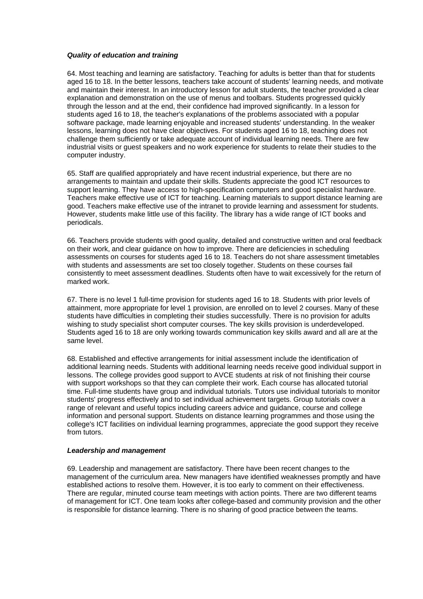### <span id="page-24-0"></span>*Quality of education and training*

64. Most teaching and learning are satisfactory. Teaching for adults is better than that for students aged 16 to 18. In the better lessons, teachers take account of students' learning needs, and motivate and maintain their interest. In an introductory lesson for adult students, the teacher provided a clear explanation and demonstration on the use of menus and toolbars. Students progressed quickly through the lesson and at the end, their confidence had improved significantly. In a lesson for students aged 16 to 18, the teacher's explanations of the problems associated with a popular software package, made learning enjoyable and increased students' understanding. In the weaker lessons, learning does not have clear objectives. For students aged 16 to 18, teaching does not challenge them sufficiently or take adequate account of individual learning needs. There are few industrial visits or guest speakers and no work experience for students to relate their studies to the computer industry.

65. Staff are qualified appropriately and have recent industrial experience, but there are no arrangements to maintain and update their skills. Students appreciate the good ICT resources to support learning. They have access to high-specification computers and good specialist hardware. Teachers make effective use of ICT for teaching. Learning materials to support distance learning are good. Teachers make effective use of the intranet to provide learning and assessment for students. However, students make little use of this facility. The library has a wide range of ICT books and periodicals.

66. Teachers provide students with good quality, detailed and constructive written and oral feedback on their work, and clear guidance on how to improve. There are deficiencies in scheduling assessments on courses for students aged 16 to 18. Teachers do not share assessment timetables with students and assessments are set too closely together. Students on these courses fail consistently to meet assessment deadlines. Students often have to wait excessively for the return of marked work.

67. There is no level 1 full-time provision for students aged 16 to 18. Students with prior levels of attainment, more appropriate for level 1 provision, are enrolled on to level 2 courses. Many of these students have difficulties in completing their studies successfully. There is no provision for adults wishing to study specialist short computer courses. The key skills provision is underdeveloped. Students aged 16 to 18 are only working towards communication key skills award and all are at the same level.

68. Established and effective arrangements for initial assessment include the identification of additional learning needs. Students with additional learning needs receive good individual support in lessons. The college provides good support to AVCE students at risk of not finishing their course with support workshops so that they can complete their work. Each course has allocated tutorial time. Full-time students have group and individual tutorials. Tutors use individual tutorials to monitor students' progress effectively and to set individual achievement targets. Group tutorials cover a range of relevant and useful topics including careers advice and guidance, course and college information and personal support. Students on distance learning programmes and those using the college's ICT facilities on individual learning programmes, appreciate the good support they receive from tutors.

### *Leadership and management*

69. Leadership and management are satisfactory. There have been recent changes to the management of the curriculum area. New managers have identified weaknesses promptly and have established actions to resolve them. However, it is too early to comment on their effectiveness. There are regular, minuted course team meetings with action points. There are two different teams of management for ICT. One team looks after college-based and community provision and the other is responsible for distance learning. There is no sharing of good practice between the teams.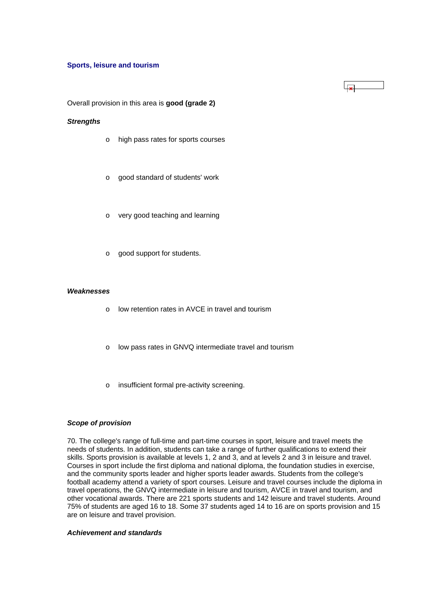#### **Sports, leisure and tourism**

Overall provision in this area is **good (grade 2)**

### *Strengths*

- o high pass rates for sports courses
- o good standard of students' work
- o very good teaching and learning
- o good support for students.

### *Weaknesses*

- o low retention rates in AVCE in travel and tourism
- o low pass rates in GNVQ intermediate travel and tourism
- o insufficient formal pre-activity screening.

#### *Scope of provision*

70. The college's range of full-time and part-time courses in sport, leisure and travel meets the needs of students. In addition, students can take a range of further qualifications to extend their skills. Sports provision is available at levels 1, 2 and 3, and at levels 2 and 3 in leisure and travel. Courses in sport include the first diploma and national diploma, the foundation studies in exercise, and the community sports leader and higher sports leader awards. Students from the college's football academy attend a variety of sport courses. Leisure and travel courses include the diploma in travel operations, the GNVQ intermediate in leisure and tourism, AVCE in travel and tourism, and other vocational awards. There are 221 sports students and 142 leisure and travel students. Around 75% of students are aged 16 to 18. Some 37 students aged 14 to 16 are on sports provision and 15 are on leisure and travel provision.

#### *Achievement and standards*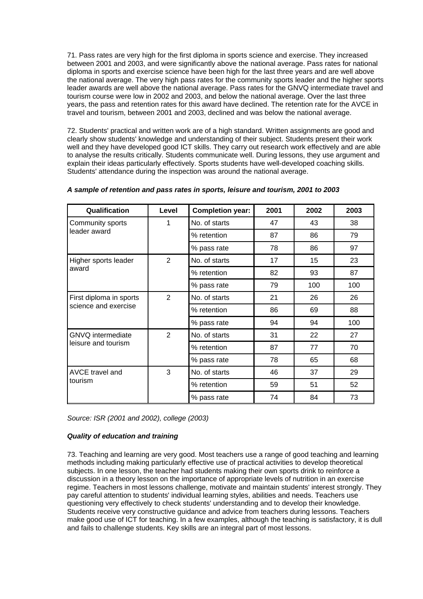71. Pass rates are very high for the first diploma in sports science and exercise. They increased between 2001 and 2003, and were significantly above the national average. Pass rates for national diploma in sports and exercise science have been high for the last three years and are well above the national average. The very high pass rates for the community sports leader and the higher sports leader awards are well above the national average. Pass rates for the GNVQ intermediate travel and tourism course were low in 2002 and 2003, and below the national average. Over the last three years, the pass and retention rates for this award have declined. The retention rate for the AVCE in travel and tourism, between 2001 and 2003, declined and was below the national average.

72. Students' practical and written work are of a high standard. Written assignments are good and clearly show students' knowledge and understanding of their subject. Students present their work well and they have developed good ICT skills. They carry out research work effectively and are able to analyse the results critically. Students communicate well. During lessons, they use argument and explain their ideas particularly effectively. Sports students have well-developed coaching skills. Students' attendance during the inspection was around the national average.

| Qualification                     | Level          | <b>Completion year:</b> | 2001 | 2002 | 2003 |
|-----------------------------------|----------------|-------------------------|------|------|------|
| Community sports                  | 1              | No. of starts           | 47   | 43   | 38   |
| leader award                      |                | % retention             | 87   | 86   | 79   |
|                                   |                | % pass rate             | 78   | 86   | 97   |
| Higher sports leader              | $\overline{2}$ | No. of starts           | 17   | 15   | 23   |
| award                             |                | % retention             | 82   | 93   | 87   |
|                                   |                | % pass rate             | 79   | 100  | 100  |
| First diploma in sports           | $\overline{2}$ | No. of starts           | 21   | 26   | 26   |
| science and exercise              |                | % retention             | 86   | 69   | 88   |
|                                   |                | % pass rate             | 94   | 94   | 100  |
| GNVQ intermediate                 | $\overline{2}$ | No. of starts           | 31   | 22   | 27   |
| leisure and tourism               |                | % retention             | 87   | 77   | 70   |
|                                   |                | % pass rate             | 78   | 65   | 68   |
| <b>AVCE travel and</b><br>tourism | 3              | No. of starts           | 46   | 37   | 29   |
|                                   |                | % retention             | 59   | 51   | 52   |
|                                   |                | % pass rate             | 74   | 84   | 73   |

### *A sample of retention and pass rates in sports, leisure and tourism, 2001 to 2003*

*Source: ISR (2001 and 2002), college (2003)*

# *Quality of education and training*

73. Teaching and learning are very good. Most teachers use a range of good teaching and learning methods including making particularly effective use of practical activities to develop theoretical subjects. In one lesson, the teacher had students making their own sports drink to reinforce a discussion in a theory lesson on the importance of appropriate levels of nutrition in an exercise regime. Teachers in most lessons challenge, motivate and maintain students' interest strongly. They pay careful attention to students' individual learning styles, abilities and needs. Teachers use questioning very effectively to check students' understanding and to develop their knowledge. Students receive very constructive guidance and advice from teachers during lessons. Teachers make good use of ICT for teaching. In a few examples, although the teaching is satisfactory, it is dull and fails to challenge students. Key skills are an integral part of most lessons.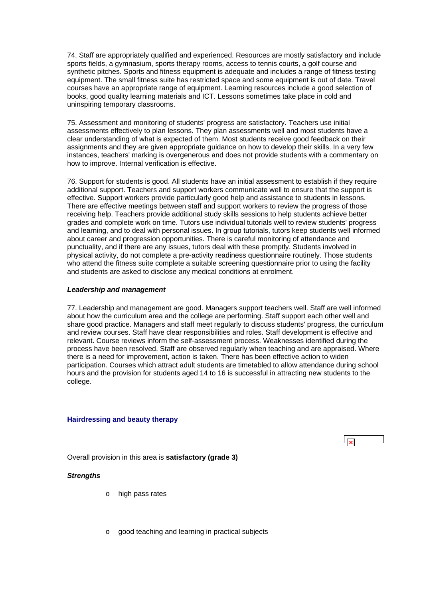<span id="page-27-0"></span>74. Staff are appropriately qualified and experienced. Resources are mostly satisfactory and include sports fields, a gymnasium, sports therapy rooms, access to tennis courts, a golf course and synthetic pitches. Sports and fitness equipment is adequate and includes a range of fitness testing equipment. The small fitness suite has restricted space and some equipment is out of date. Travel courses have an appropriate range of equipment. Learning resources include a good selection of books, good quality learning materials and ICT. Lessons sometimes take place in cold and uninspiring temporary classrooms.

75. Assessment and monitoring of students' progress are satisfactory. Teachers use initial assessments effectively to plan lessons. They plan assessments well and most students have a clear understanding of what is expected of them. Most students receive good feedback on their assignments and they are given appropriate guidance on how to develop their skills. In a very few instances, teachers' marking is overgenerous and does not provide students with a commentary on how to improve. Internal verification is effective.

76. Support for students is good. All students have an initial assessment to establish if they require additional support. Teachers and support workers communicate well to ensure that the support is effective. Support workers provide particularly good help and assistance to students in lessons. There are effective meetings between staff and support workers to review the progress of those receiving help. Teachers provide additional study skills sessions to help students achieve better grades and complete work on time. Tutors use individual tutorials well to review students' progress and learning, and to deal with personal issues. In group tutorials, tutors keep students well informed about career and progression opportunities. There is careful monitoring of attendance and punctuality, and if there are any issues, tutors deal with these promptly. Students involved in physical activity, do not complete a pre-activity readiness questionnaire routinely. Those students who attend the fitness suite complete a suitable screening questionnaire prior to using the facility and students are asked to disclose any medical conditions at enrolment.

### *Leadership and management*

77. Leadership and management are good. Managers support teachers well. Staff are well informed about how the curriculum area and the college are performing. Staff support each other well and share good practice. Managers and staff meet regularly to discuss students' progress, the curriculum and review courses. Staff have clear responsibilities and roles. Staff development is effective and relevant. Course reviews inform the self-assessment process. Weaknesses identified during the process have been resolved. Staff are observed regularly when teaching and are appraised. Where there is a need for improvement, action is taken. There has been effective action to widen participation. Courses which attract adult students are timetabled to allow attendance during school hours and the provision for students aged 14 to 16 is successful in attracting new students to the college.

### **Hairdressing and beauty therapy**



Overall provision in this area is **satisfactory (grade 3)**

# *Strengths*

- o high pass rates
- o good teaching and learning in practical subjects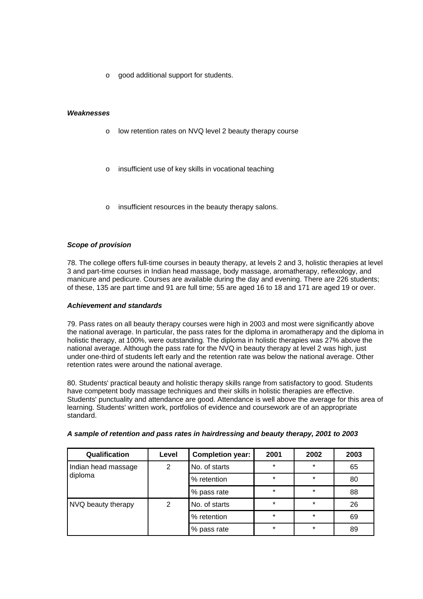o good additional support for students.

### *Weaknesses*

- o low retention rates on NVQ level 2 beauty therapy course
- o insufficient use of key skills in vocational teaching
- o insufficient resources in the beauty therapy salons.

### *Scope of provision*

78. The college offers full-time courses in beauty therapy, at levels 2 and 3, holistic therapies at level 3 and part-time courses in Indian head massage, body massage, aromatherapy, reflexology, and manicure and pedicure. Courses are available during the day and evening. There are 226 students; of these, 135 are part time and 91 are full time; 55 are aged 16 to 18 and 171 are aged 19 or over.

### *Achievement and standards*

79. Pass rates on all beauty therapy courses were high in 2003 and most were significantly above the national average. In particular, the pass rates for the diploma in aromatherapy and the diploma in holistic therapy, at 100%, were outstanding. The diploma in holistic therapies was 27% above the national average. Although the pass rate for the NVQ in beauty therapy at level 2 was high, just under one-third of students left early and the retention rate was below the national average. Other retention rates were around the national average.

80. Students' practical beauty and holistic therapy skills range from satisfactory to good. Students have competent body massage techniques and their skills in holistic therapies are effective. Students' punctuality and attendance are good. Attendance is well above the average for this area of learning. Students' written work, portfolios of evidence and coursework are of an appropriate standard.

| Qualification                  | Level | <b>Completion year:</b> | 2001    | 2002    | 2003 |
|--------------------------------|-------|-------------------------|---------|---------|------|
| Indian head massage<br>diploma | 2     | No. of starts           | $\star$ | $\star$ | 65   |
|                                |       | % retention             | $\star$ | $\star$ | 80   |
|                                |       | % pass rate             | $\star$ | $\star$ | 88   |
| NVQ beauty therapy             | 2     | No. of starts           | $\star$ | $\star$ | 26   |
|                                |       | % retention             | $\star$ | $\star$ | 69   |
|                                |       | % pass rate             | $\star$ | $\star$ | 89   |

# *A sample of retention and pass rates in hairdressing and beauty therapy, 2001 to 2003*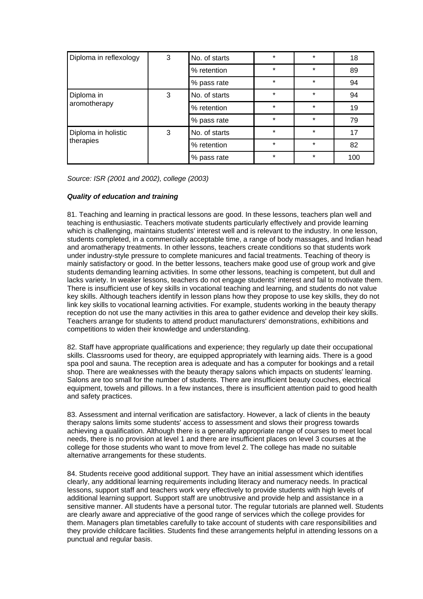| Diploma in reflexology           | 3 | No. of starts | $\star$ | $\star$ | 18  |
|----------------------------------|---|---------------|---------|---------|-----|
|                                  |   | % retention   | $\star$ | $\star$ | 89  |
|                                  |   | % pass rate   | $\star$ | $\star$ | 94  |
| Diploma in                       | 3 | No. of starts | $\star$ | $\star$ | 94  |
| aromotherapy                     |   | % retention   | $\star$ | $\star$ | 19  |
|                                  |   | % pass rate   | $\star$ | $\star$ | 79  |
| Diploma in holistic<br>therapies | 3 | No. of starts | $\star$ | $\star$ | 17  |
|                                  |   | % retention   | $\star$ | $\star$ | 82  |
|                                  |   | % pass rate   | $\star$ | $\star$ | 100 |

*Source: ISR (2001 and 2002), college (2003)*

### *Quality of education and training*

81. Teaching and learning in practical lessons are good. In these lessons, teachers plan well and teaching is enthusiastic. Teachers motivate students particularly effectively and provide learning which is challenging, maintains students' interest well and is relevant to the industry. In one lesson, students completed, in a commercially acceptable time, a range of body massages, and Indian head and aromatherapy treatments. In other lessons, teachers create conditions so that students work under industry-style pressure to complete manicures and facial treatments. Teaching of theory is mainly satisfactory or good. In the better lessons, teachers make good use of group work and give students demanding learning activities. In some other lessons, teaching is competent, but dull and lacks variety. In weaker lessons, teachers do not engage students' interest and fail to motivate them. There is insufficient use of key skills in vocational teaching and learning, and students do not value key skills. Although teachers identify in lesson plans how they propose to use key skills, they do not link key skills to vocational learning activities. For example, students working in the beauty therapy reception do not use the many activities in this area to gather evidence and develop their key skills. Teachers arrange for students to attend product manufacturers' demonstrations, exhibitions and competitions to widen their knowledge and understanding.

82. Staff have appropriate qualifications and experience; they regularly up date their occupational skills. Classrooms used for theory, are equipped appropriately with learning aids. There is a good spa pool and sauna. The reception area is adequate and has a computer for bookings and a retail shop. There are weaknesses with the beauty therapy salons which impacts on students' learning. Salons are too small for the number of students. There are insufficient beauty couches, electrical equipment, towels and pillows. In a few instances, there is insufficient attention paid to good health and safety practices.

83. Assessment and internal verification are satisfactory. However, a lack of clients in the beauty therapy salons limits some students' access to assessment and slows their progress towards achieving a qualification. Although there is a generally appropriate range of courses to meet local needs, there is no provision at level 1 and there are insufficient places on level 3 courses at the college for those students who want to move from level 2. The college has made no suitable alternative arrangements for these students.

84. Students receive good additional support. They have an initial assessment which identifies clearly, any additional learning requirements including literacy and numeracy needs. In practical lessons, support staff and teachers work very effectively to provide students with high levels of additional learning support. Support staff are unobtrusive and provide help and assistance in a sensitive manner. All students have a personal tutor. The regular tutorials are planned well. Students are clearly aware and appreciative of the good range of services which the college provides for them. Managers plan timetables carefully to take account of students with care responsibilities and they provide childcare facilities. Students find these arrangements helpful in attending lessons on a punctual and regular basis.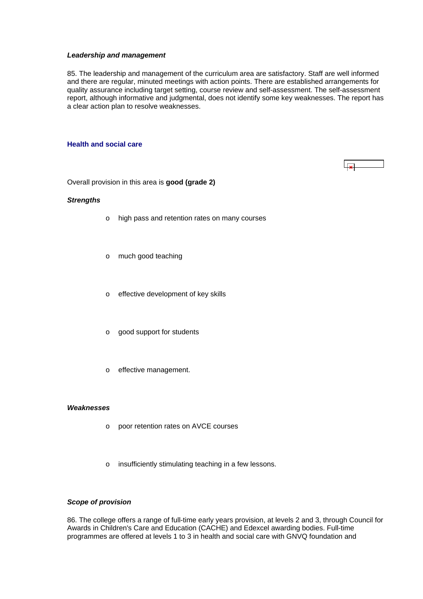#### <span id="page-30-0"></span>*Leadership and management*

85. The leadership and management of the curriculum area are satisfactory. Staff are well informed and there are regular, minuted meetings with action points. There are established arrangements for quality assurance including target setting, course review and self-assessment. The self-assessment report, although informative and judgmental, does not identify some key weaknesses. The report has a clear action plan to resolve weaknesses.

#### **Health and social care**

 $\overline{\phantom{a}}$ 

Overall provision in this area is **good (grade 2)**

#### *Strengths*

- o high pass and retention rates on many courses
- o much good teaching
- o effective development of key skills
- o good support for students
- o effective management.

### *Weaknesses*

- o poor retention rates on AVCE courses
- o insufficiently stimulating teaching in a few lessons.

# *Scope of provision*

86. The college offers a range of full-time early years provision, at levels 2 and 3, through Council for Awards in Children's Care and Education (CACHE) and Edexcel awarding bodies. Full-time programmes are offered at levels 1 to 3 in health and social care with GNVQ foundation and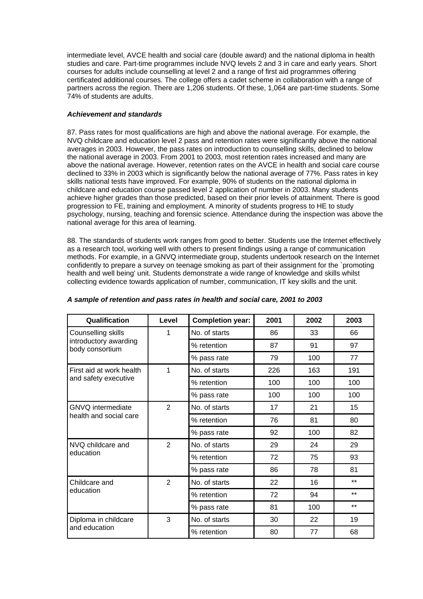intermediate level, AVCE health and social care (double award) and the national diploma in health studies and care. Part-time programmes include NVQ levels 2 and 3 in care and early years. Short courses for adults include counselling at level 2 and a range of first aid programmes offering certificated additional courses. The college offers a cadet scheme in collaboration with a range of partners across the region. There are 1,206 students. Of these, 1,064 are part-time students. Some 74% of students are adults.

# *Achievement and standards*

87. Pass rates for most qualifications are high and above the national average. For example, the NVQ childcare and education level 2 pass and retention rates were significantly above the national averages in 2003. However, the pass rates on introduction to counselling skills, declined to below the national average in 2003. From 2001 to 2003, most retention rates increased and many are above the national average. However, retention rates on the AVCE in health and social care course declined to 33% in 2003 which is significantly below the national average of 77%. Pass rates in key skills national tests have improved. For example, 90% of students on the national diploma in childcare and education course passed level 2 application of number in 2003. Many students achieve higher grades than those predicted, based on their prior levels of attainment. There is good progression to FE, training and employment. A minority of students progress to HE to study psychology, nursing, teaching and forensic science. Attendance during the inspection was above the national average for this area of learning.

88. The standards of students work ranges from good to better. Students use the Internet effectively as a research tool, working well with others to present findings using a range of communication methods. For example, in a GNVQ intermediate group, students undertook research on the Internet confidently to prepare a survey on teenage smoking as part of their assignment for the `promoting health and well being' unit. Students demonstrate a wide range of knowledge and skills whilst collecting evidence towards application of number, communication, IT key skills and the unit.

| Qualification                            | Level          | <b>Completion year:</b> | 2001 | 2002 | 2003  |
|------------------------------------------|----------------|-------------------------|------|------|-------|
| Counselling skills                       | 1              | No. of starts           | 86   | 33   | 66    |
| introductory awarding<br>body consortium |                | % retention             | 87   | 91   | 97    |
|                                          |                | % pass rate             | 79   | 100  | 77    |
| First aid at work health                 | 1              | No. of starts           | 226  | 163  | 191   |
| and safety executive                     |                | % retention             | 100  | 100  | 100   |
|                                          |                | % pass rate             | 100  | 100  | 100   |
| <b>GNVQ</b> intermediate                 | $\overline{2}$ | No. of starts           | 17   | 21   | 15    |
| health and social care                   |                | % retention             | 76   | 81   | 80    |
|                                          |                | % pass rate             | 92   | 100  | 82    |
| NVQ childcare and                        | $\overline{2}$ | No. of starts           | 29   | 24   | 29    |
| education                                |                | % retention             | 72   | 75   | 93    |
|                                          |                | % pass rate             | 86   | 78   | 81    |
| Childcare and                            | 2              | No. of starts           | 22   | 16   | $***$ |
| education                                |                | % retention             | 72   | 94   | $***$ |
|                                          |                | % pass rate             | 81   | 100  | $***$ |
| Diploma in childcare                     | 3              | No. of starts           | 30   | 22   | 19    |
| and education                            |                | % retention             | 80   | 77   | 68    |

# *A sample of retention and pass rates in health and social care, 2001 to 2003*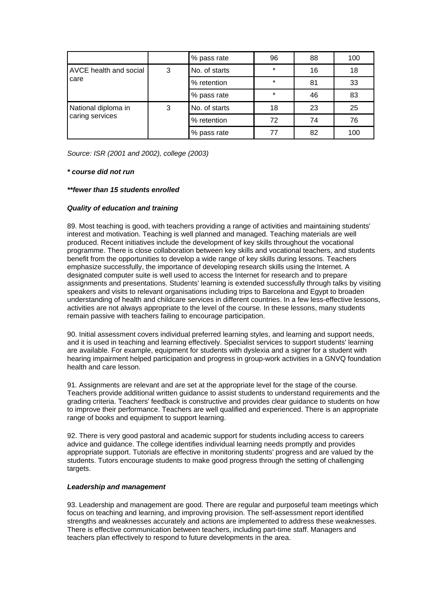|                                        |   | % pass rate   | 96      | 88 | 100 |
|----------------------------------------|---|---------------|---------|----|-----|
| AVCE health and social                 | 3 | No. of starts | $\star$ | 16 | 18  |
| care                                   |   | % retention   | $\star$ | 81 | 33  |
|                                        |   | % pass rate   | $\star$ | 46 | 83  |
| National diploma in<br>caring services | 3 | No. of starts | 18      | 23 | 25  |
|                                        |   | % retention   | 72      | 74 | 76  |
|                                        |   | % pass rate   | 77      | 82 | 100 |

*Source: ISR (2001 and 2002), college (2003)*

### *\* course did not run*

### *\*\*fewer than 15 students enrolled*

# *Quality of education and training*

89. Most teaching is good, with teachers providing a range of activities and maintaining students' interest and motivation. Teaching is well planned and managed. Teaching materials are well produced. Recent initiatives include the development of key skills throughout the vocational programme. There is close collaboration between key skills and vocational teachers, and students benefit from the opportunities to develop a wide range of key skills during lessons. Teachers emphasize successfully, the importance of developing research skills using the Internet. A designated computer suite is well used to access the Internet for research and to prepare assignments and presentations. Students' learning is extended successfully through talks by visiting speakers and visits to relevant organisations including trips to Barcelona and Egypt to broaden understanding of health and childcare services in different countries. In a few less-effective lessons, activities are not always appropriate to the level of the course. In these lessons, many students remain passive with teachers failing to encourage participation.

90. Initial assessment covers individual preferred learning styles, and learning and support needs, and it is used in teaching and learning effectively. Specialist services to support students' learning are available. For example, equipment for students with dyslexia and a signer for a student with hearing impairment helped participation and progress in group-work activities in a GNVQ foundation health and care lesson.

91. Assignments are relevant and are set at the appropriate level for the stage of the course. Teachers provide additional written guidance to assist students to understand requirements and the grading criteria. Teachers' feedback is constructive and provides clear guidance to students on how to improve their performance. Teachers are well qualified and experienced. There is an appropriate range of books and equipment to support learning.

92. There is very good pastoral and academic support for students including access to careers advice and guidance. The college identifies individual learning needs promptly and provides appropriate support. Tutorials are effective in monitoring students' progress and are valued by the students. Tutors encourage students to make good progress through the setting of challenging targets.

# *Leadership and management*

93. Leadership and management are good. There are regular and purposeful team meetings which focus on teaching and learning, and improving provision. The self-assessment report identified strengths and weaknesses accurately and actions are implemented to address these weaknesses. There is effective communication between teachers, including part-time staff. Managers and teachers plan effectively to respond to future developments in the area.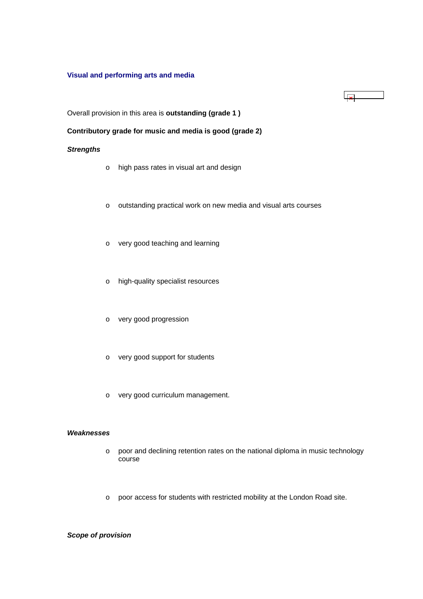# <span id="page-33-0"></span>**Visual and performing arts and media**

# $\sqrt{8}$

Overall provision in this area is **outstanding (grade 1 )**

# **Contributory grade for music and media is good (grade 2)**

### *Strengths*

- o high pass rates in visual art and design
- o outstanding practical work on new media and visual arts courses
- o very good teaching and learning
- o high-quality specialist resources
- o very good progression
- o very good support for students
- o very good curriculum management.

# *Weaknesses*

- o poor and declining retention rates on the national diploma in music technology course
- o poor access for students with restricted mobility at the London Road site.

# *Scope of provision*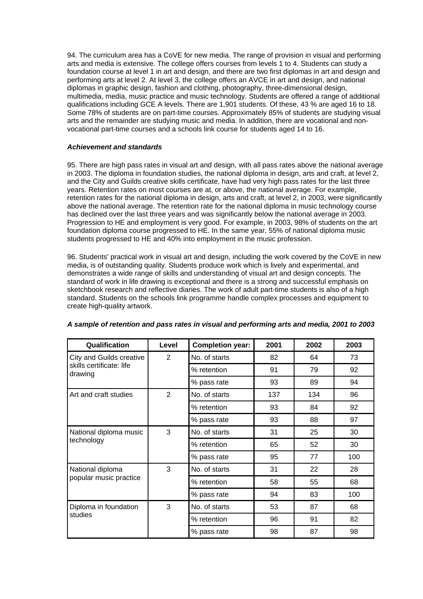94. The curriculum area has a CoVE for new media. The range of provision in visual and performing arts and media is extensive. The college offers courses from levels 1 to 4. Students can study a foundation course at level 1 in art and design, and there are two first diplomas in art and design and performing arts at level 2. At level 3, the college offers an AVCE in art and design, and national diplomas in graphic design, fashion and clothing, photography, three-dimensional design, multimedia, media, music practice and music technology. Students are offered a range of additional qualifications including GCE A levels. There are 1,901 students. Of these, 43 % are aged 16 to 18. Some 78% of students are on part-time courses. Approximately 85% of students are studying visual arts and the remainder are studying music and media. In addition, there are vocational and nonvocational part-time courses and a schools link course for students aged 14 to 16.

### *Achievement and standards*

95. There are high pass rates in visual art and design, with all pass rates above the national average in 2003. The diploma in foundation studies, the national diploma in design, arts and craft, at level 2, and the City and Guilds creative skills certificate, have had very high pass rates for the last three years. Retention rates on most courses are at, or above, the national average. For example, retention rates for the national diploma in design, arts and craft, at level 2, in 2003, were significantly above the national average. The retention rate for the national diploma in music technology course has declined over the last three years and was significantly below the national average in 2003. Progression to HE and employment is very good. For example, in 2003, 98% of students on the art foundation diploma course progressed to HE. In the same year, 55% of national diploma music students progressed to HE and 40% into employment in the music profession.

96. Students' practical work in visual art and design, including the work covered by the CoVE in new media, is of outstanding quality. Students produce work which is lively and experimental, and demonstrates a wide range of skills and understanding of visual art and design concepts. The standard of work in life drawing is exceptional and there is a strong and successful emphasis on sketchbook research and reflective diaries. The work of adult part-time students is also of a high standard. Students on the schools link programme handle complex processes and equipment to create high-quality artwork.

| Qualification                       | Level | <b>Completion year:</b> | 2001 | 2002 | 2003 |
|-------------------------------------|-------|-------------------------|------|------|------|
| City and Guilds creative            | 2     | No. of starts           | 82   | 64   | 73   |
| skills certificate: life<br>drawing |       | % retention             | 91   | 79   | 92   |
|                                     |       | % pass rate             | 93   | 89   | 94   |
| Art and craft studies               | 2     | No. of starts           | 137  | 134  | 96   |
|                                     |       | % retention             | 93   | 84   | 92   |
|                                     |       | % pass rate             | 93   | 88   | 97   |
| National diploma music              | 3     | No. of starts           | 31   | 25   | 30   |
| technology                          |       | % retention             | 65   | 52   | 30   |
|                                     |       | % pass rate             | 95   | 77   | 100  |
| National diploma                    | 3     | No. of starts           | 31   | 22   | 28   |
| popular music practice              |       | % retention             | 58   | 55   | 68   |
|                                     |       | % pass rate             | 94   | 83   | 100  |
| Diploma in foundation<br>studies    | 3     | No. of starts           | 53   | 87   | 68   |
|                                     |       | % retention             | 96   | 91   | 82   |
|                                     |       | % pass rate             | 98   | 87   | 98   |

# *A sample of retention and pass rates in visual and performing arts and media, 2001 to 2003*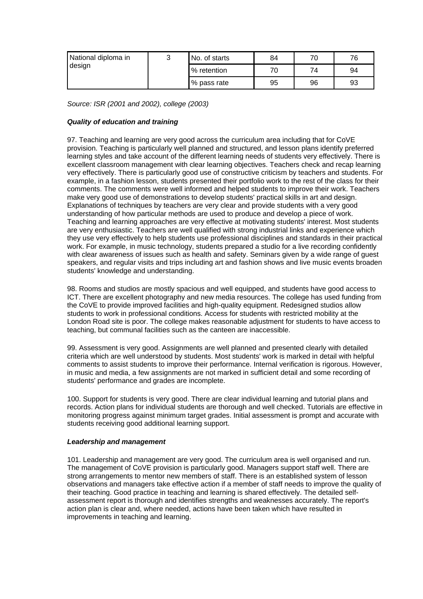<span id="page-35-0"></span>

| National diploma in<br>design | ⌒<br>w | No. of starts | 84 | 70 | 76 |
|-------------------------------|--------|---------------|----|----|----|
|                               |        | % retention   | 70 | 74 | 94 |
|                               |        | % pass rate   | 95 | 96 | 93 |

*Source: ISR (2001 and 2002), college (2003)*

# *Quality of education and training*

97. Teaching and learning are very good across the curriculum area including that for CoVE provision. Teaching is particularly well planned and structured, and lesson plans identify preferred learning styles and take account of the different learning needs of students very effectively. There is excellent classroom management with clear learning objectives. Teachers check and recap learning very effectively. There is particularly good use of constructive criticism by teachers and students. For example, in a fashion lesson, students presented their portfolio work to the rest of the class for their comments. The comments were well informed and helped students to improve their work. Teachers make very good use of demonstrations to develop students' practical skills in art and design. Explanations of techniques by teachers are very clear and provide students with a very good understanding of how particular methods are used to produce and develop a piece of work. Teaching and learning approaches are very effective at motivating students' interest. Most students are very enthusiastic. Teachers are well qualified with strong industrial links and experience which they use very effectively to help students use professional disciplines and standards in their practical work. For example, in music technology, students prepared a studio for a live recording confidently with clear awareness of issues such as health and safety. Seminars given by a wide range of guest speakers, and regular visits and trips including art and fashion shows and live music events broaden students' knowledge and understanding.

98. Rooms and studios are mostly spacious and well equipped, and students have good access to ICT. There are excellent photography and new media resources. The college has used funding from the CoVE to provide improved facilities and high-quality equipment. Redesigned studios allow students to work in professional conditions. Access for students with restricted mobility at the London Road site is poor. The college makes reasonable adjustment for students to have access to teaching, but communal facilities such as the canteen are inaccessible.

99. Assessment is very good. Assignments are well planned and presented clearly with detailed criteria which are well understood by students. Most students' work is marked in detail with helpful comments to assist students to improve their performance. Internal verification is rigorous. However, in music and media, a few assignments are not marked in sufficient detail and some recording of students' performance and grades are incomplete.

100. Support for students is very good. There are clear individual learning and tutorial plans and records. Action plans for individual students are thorough and well checked. Tutorials are effective in monitoring progress against minimum target grades. Initial assessment is prompt and accurate with students receiving good additional learning support.

### *Leadership and management*

101. Leadership and management are very good. The curriculum area is well organised and run. The management of CoVE provision is particularly good. Managers support staff well. There are strong arrangements to mentor new members of staff. There is an established system of lesson observations and managers take effective action if a member of staff needs to improve the quality of their teaching. Good practice in teaching and learning is shared effectively. The detailed selfassessment report is thorough and identifies strengths and weaknesses accurately. The report's action plan is clear and, where needed, actions have been taken which have resulted in improvements in teaching and learning.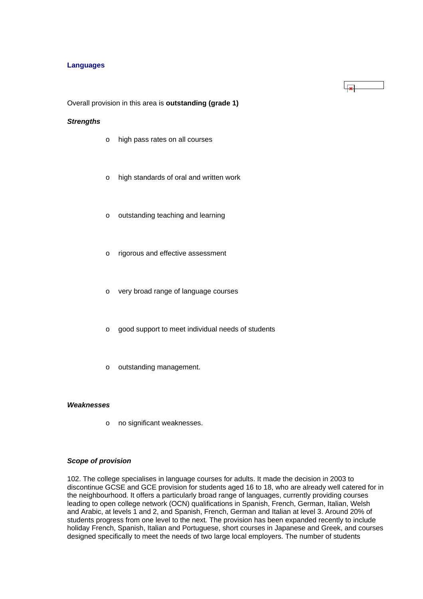### **Languages**

Overall provision in this area is **outstanding (grade 1)**

# *Strengths*

- o high pass rates on all courses
- o high standards of oral and written work
- o outstanding teaching and learning
- o rigorous and effective assessment
- o very broad range of language courses
- o good support to meet individual needs of students
- o outstanding management.

### *Weaknesses*

o no significant weaknesses.

### *Scope of provision*

102. The college specialises in language courses for adults. It made the decision in 2003 to discontinue GCSE and GCE provision for students aged 16 to 18, who are already well catered for in the neighbourhood. It offers a particularly broad range of languages, currently providing courses leading to open college network (OCN) qualifications in Spanish, French, German, Italian, Welsh and Arabic, at levels 1 and 2, and Spanish, French, German and Italian at level 3. Around 20% of students progress from one level to the next*.* The provision has been expanded recently to include holiday French, Spanish, Italian and Portuguese, short courses in Japanese and Greek, and courses designed specifically to meet the needs of two large local employers. The number of students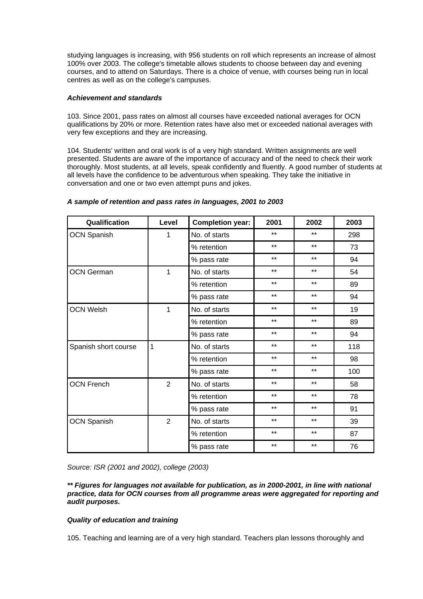studying languages is increasing, with 956 students on roll which represents an increase of almost 100% over 2003. The college's timetable allows students to choose between day and evening courses, and to attend on Saturdays. There is a choice of venue, with courses being run in local centres as well as on the college's campuses.

### *Achievement and standards*

103. Since 2001, pass rates on almost all courses have exceeded national averages for OCN qualifications by 20% or more. Retention rates have also met or exceeded national averages with very few exceptions and they are increasing.

104. Students' written and oral work is of a very high standard. Written assignments are well presented. Students are aware of the importance of accuracy and of the need to check their work thoroughly. Most students, at all levels, speak confidently and fluently. A good number of students at all levels have the confidence to be adventurous when speaking. They take the initiative in conversation and one or two even attempt puns and jokes.

| Qualification        | Level          | <b>Completion year:</b> | 2001  | 2002  | 2003 |
|----------------------|----------------|-------------------------|-------|-------|------|
| <b>OCN Spanish</b>   | 1              | No. of starts           | $***$ | $***$ | 298  |
|                      |                | % retention             | $***$ | $***$ | 73   |
|                      |                | % pass rate             | $***$ | $***$ | 94   |
| <b>OCN German</b>    | 1              | No. of starts           | $***$ | $***$ | 54   |
|                      |                | % retention             | $***$ | $***$ | 89   |
|                      |                | % pass rate             | $***$ | $***$ | 94   |
| <b>OCN Welsh</b>     | 1              | No. of starts           | $***$ | $***$ | 19   |
|                      |                | % retention             | $***$ | $***$ | 89   |
|                      |                | % pass rate             | $***$ | $***$ | 94   |
| Spanish short course | 1              | No. of starts           | $***$ | $***$ | 118  |
|                      |                | % retention             | $***$ | $***$ | 98   |
|                      |                | % pass rate             | $***$ | $***$ | 100  |
| <b>OCN French</b>    | $\overline{2}$ | No. of starts           | $***$ | $***$ | 58   |
|                      |                | % retention             | $***$ | $***$ | 78   |
|                      |                | % pass rate             | $***$ | $***$ | 91   |
| <b>OCN Spanish</b>   | $\overline{2}$ | No. of starts           | $***$ | $***$ | 39   |
|                      |                | % retention             | $***$ | $***$ | 87   |
|                      |                | % pass rate             | $***$ | $***$ | 76   |

### *A sample of retention and pass rates in languages, 2001 to 2003*

*Source: ISR (2001 and 2002), college (2003)*

### *\*\* Figures for languages not available for publication, as in 2000-2001, in line with national practice, data for OCN courses from all programme areas were aggregated for reporting and audit purposes.*

# *Quality of education and training*

105. Teaching and learning are of a very high standard. Teachers plan lessons thoroughly and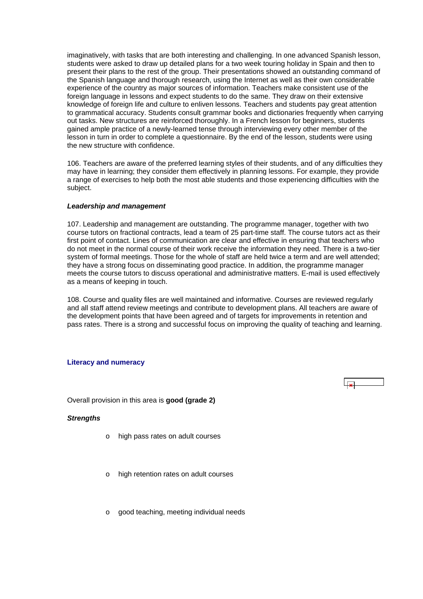<span id="page-38-0"></span>imaginatively, with tasks that are both interesting and challenging. In one advanced Spanish lesson, students were asked to draw up detailed plans for a two week touring holiday in Spain and then to present their plans to the rest of the group. Their presentations showed an outstanding command of the Spanish language and thorough research, using the Internet as well as their own considerable experience of the country as major sources of information. Teachers make consistent use of the foreign language in lessons and expect students to do the same. They draw on their extensive knowledge of foreign life and culture to enliven lessons. Teachers and students pay great attention to grammatical accuracy. Students consult grammar books and dictionaries frequently when carrying out tasks. New structures are reinforced thoroughly. In a French lesson for beginners, students gained ample practice of a newly-learned tense through interviewing every other member of the lesson in turn in order to complete a questionnaire. By the end of the lesson, students were using the new structure with confidence.

106. Teachers are aware of the preferred learning styles of their students, and of any difficulties they may have in learning; they consider them effectively in planning lessons. For example, they provide a range of exercises to help both the most able students and those experiencing difficulties with the subject.

### *Leadership and management*

107. Leadership and management are outstanding. The programme manager, together with two course tutors on fractional contracts, lead a team of 25 part-time staff. The course tutors act as their first point of contact. Lines of communication are clear and effective in ensuring that teachers who do not meet in the normal course of their work receive the information they need. There is a two-tier system of formal meetings. Those for the whole of staff are held twice a term and are well attended; they have a strong focus on disseminating good practice. In addition, the programme manager meets the course tutors to discuss operational and administrative matters. E-mail is used effectively as a means of keeping in touch.

108. Course and quality files are well maintained and informative. Courses are reviewed regularly and all staff attend review meetings and contribute to development plans. All teachers are aware of the development points that have been agreed and of targets for improvements in retention and pass rates. There is a strong and successful focus on improving the quality of teaching and learning.

 $\overline{\mathbf{u}}$ 

### **Literacy and numeracy**

Overall provision in this area is **good (grade 2)**

### *Strengths*

- o high pass rates on adult courses
- high retention rates on adult courses
- o good teaching, meeting individual needs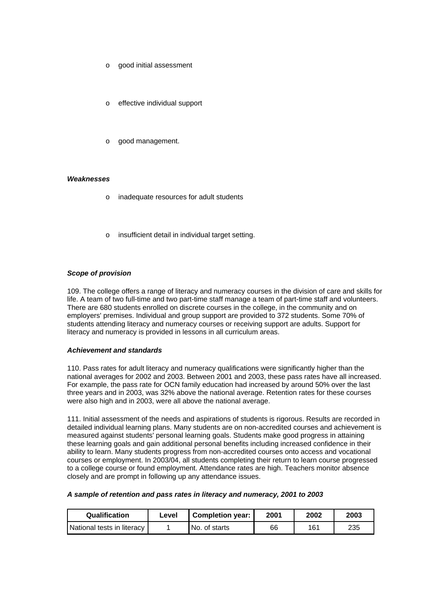- o good initial assessment
- effective individual support
- good management.

### *Weaknesses*

- o inadequate resources for adult students
- insufficient detail in individual target setting.

### *Scope of provision*

109. The college offers a range of literacy and numeracy courses in the division of care and skills for life. A team of two full-time and two part-time staff manage a team of part-time staff and volunteers. There are 680 students enrolled on discrete courses in the college, in the community and on employers' premises. Individual and group support are provided to 372 students. Some 70% of students attending literacy and numeracy courses or receiving support are adults. Support for literacy and numeracy is provided in lessons in all curriculum areas.

### *Achievement and standards*

110. Pass rates for adult literacy and numeracy qualifications were significantly higher than the national averages for 2002 and 2003. Between 2001 and 2003, these pass rates have all increased. For example, the pass rate for OCN family education had increased by around 50% over the last three years and in 2003, was 32% above the national average. Retention rates for these courses were also high and in 2003, were all above the national average.

111. Initial assessment of the needs and aspirations of students is rigorous. Results are recorded in detailed individual learning plans. Many students are on non-accredited courses and achievement is measured against students' personal learning goals. Students make good progress in attaining these learning goals and gain additional personal benefits including increased confidence in their ability to learn. Many students progress from non-accredited courses onto access and vocational courses or employment. In 2003/04, all students completing their return to learn course progressed to a college course or found employment. Attendance rates are high. Teachers monitor absence closely and are prompt in following up any attendance issues.

### *A sample of retention and pass rates in literacy and numeracy, 2001 to 2003*

| <b>Qualification</b>       | Level | <b>Completion year:</b> | 2001 | 2002 | 2003 |
|----------------------------|-------|-------------------------|------|------|------|
| National tests in literacy |       | No. of starts           | 66   | 161  | 235  |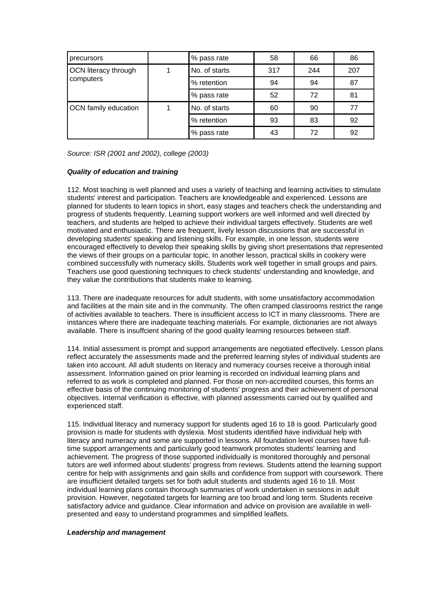| precursors           |  | % pass rate   | 58  | 66  | 86  |
|----------------------|--|---------------|-----|-----|-----|
| OCN literacy through |  | No. of starts | 317 | 244 | 207 |
| computers            |  | % retention   | 94  | 94  | 87  |
|                      |  | % pass rate   | 52  | 72  | 81  |
| OCN family education |  | No. of starts | 60  | 90  | 77  |
|                      |  | % retention   | 93  | 83  | 92  |
|                      |  | % pass rate   | 43  | 72  | 92  |

*Source: ISR (2001 and 2002), college (2003)*

# *Quality of education and training*

112. Most teaching is well planned and uses a variety of teaching and learning activities to stimulate students' interest and participation. Teachers are knowledgeable and experienced. Lessons are planned for students to learn topics in short, easy stages and teachers check the understanding and progress of students frequently. Learning support workers are well informed and well directed by teachers, and students are helped to achieve their individual targets effectively. Students are well motivated and enthusiastic. There are frequent, lively lesson discussions that are successful in developing students' speaking and listening skills. For example, in one lesson, students were encouraged effectively to develop their speaking skills by giving short presentations that represented the views of their groups on a particular topic. In another lesson, practical skills in cookery were combined successfully with numeracy skills. Students work well together in small groups and pairs. Teachers use good questioning techniques to check students' understanding and knowledge, and they value the contributions that students make to learning.

113. There are inadequate resources for adult students, with some unsatisfactory accommodation and facilities at the main site and in the community. The often cramped classrooms restrict the range of activities available to teachers. There is insufficient access to ICT in many classrooms. There are instances where there are inadequate teaching materials. For example, dictionaries are not always available. There is insuffcient sharing of the good quality learning resources between staff.

114. Initial assessment is prompt and support arrangements are negotiated effectively. Lesson plans reflect accurately the assessments made and the preferred learning styles of individual students are taken into account. All adult students on literacy and numeracy courses receive a thorough initial assessment. Information gained on prior learning is recorded on individual learning plans and referred to as work is completed and planned. For those on non-accredited courses, this forms an effective basis of the continuing monitoring of students' progress and their achievement of personal objectives. Internal verification is effective, with planned assessments carried out by qualified and experienced staff.

115. Individual literacy and numeracy support for students aged 16 to 18 is good. Particularly good provision is made for students with dyslexia. Most students identified have individual help with literacy and numeracy and some are supported in lessons. All foundation level courses have fulltime support arrangements and particularly good teamwork promotes students' learning and achievement. The progress of those supported individually is monitored thoroughly and personal tutors are well informed about students' progress from reviews. Students attend the learning support centre for help with assignments and gain skills and confidence from support with coursework. There are insufficient detailed targets set for both adult students and students aged 16 to 18. Most individual learning plans contain thorough summaries of work undertaken in sessions in adult provision. However, negotiated targets for learning are too broad and long term. Students receive satisfactory advice and guidance. Clear information and advice on provision are available in wellpresented and easy to understand programmes and simplified leaflets.

### *Leadership and management*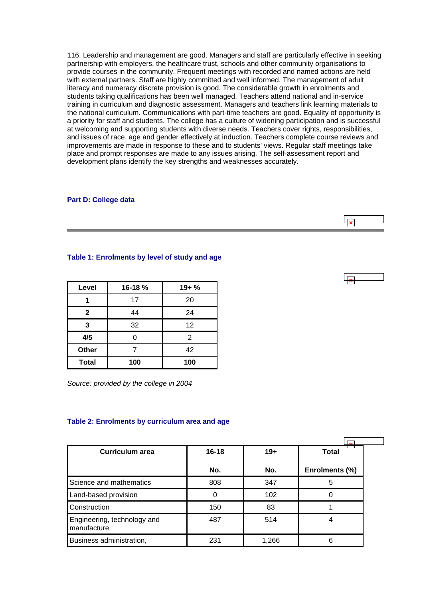<span id="page-41-0"></span>116. Leadership and management are good. Managers and staff are particularly effective in seeking partnership with employers, the healthcare trust, schools and other community organisations to provide courses in the community. Frequent meetings with recorded and named actions are held with external partners. Staff are highly committed and well informed. The management of adult literacy and numeracy discrete provision is good. The considerable growth in enrolments and students taking qualifications has been well managed. Teachers attend national and in-service training in curriculum and diagnostic assessment. Managers and teachers link learning materials to the national curriculum. Communications with part-time teachers are good. Equality of opportunity is a priority for staff and students. The college has a culture of widening participation and is successful at welcoming and supporting students with diverse needs. Teachers cover rights, responsibilities, and issues of race, age and gender effectively at induction. Teachers complete course reviews and improvements are made in response to these and to students' views. Regular staff meetings take place and prompt responses are made to any issues arising. The self-assessment report and development plans identify the key strengths and weaknesses accurately.

#### **Part D: College data**

### **Table 1: Enrolments by level of study and age**

| Level        | 16-18% | $19 + \%$ |
|--------------|--------|-----------|
|              | 17     | 20        |
| $\mathbf{2}$ | 44     | 24        |
| 3            | 32     | 12        |
| 4/5          | 0      | 2         |
| <b>Other</b> | 42     |           |
| <b>Total</b> | 100    | 100       |

*Source: provided by the college in 2004* 

### **Table 2: Enrolments by curriculum area and age**

| Curriculum area                            | $16 - 18$ | $19+$ | <b>Total</b>   |
|--------------------------------------------|-----------|-------|----------------|
|                                            | No.       | No.   | Enrolments (%) |
| Science and mathematics                    | 808       | 347   | 5              |
| Land-based provision                       |           | 102   |                |
| Construction                               | 150       | 83    |                |
| Engineering, technology and<br>manufacture | 487       | 514   | 4              |
| Business administration,                   | 231       | 1,266 | 6              |

 $\overline{1}$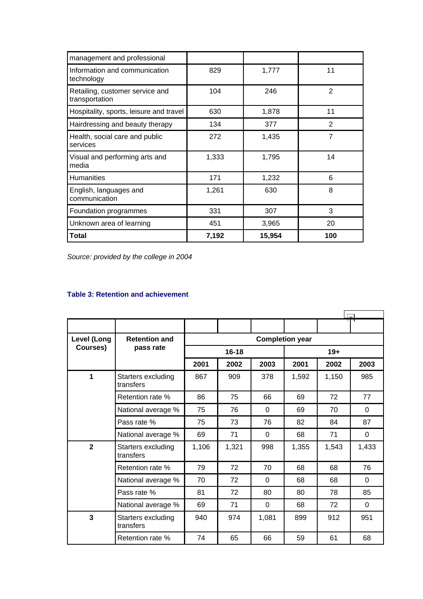<span id="page-42-0"></span>

| management and professional                       |       |        |                |
|---------------------------------------------------|-------|--------|----------------|
| Information and communication<br>technology       | 829   | 1,777  | 11             |
| Retailing, customer service and<br>transportation | 104   | 246    | $\overline{2}$ |
| Hospitality, sports, leisure and travel           | 630   | 1,878  | 11             |
| Hairdressing and beauty therapy                   | 134   | 377    | 2              |
| Health, social care and public<br>services        | 272   | 1,435  | $\overline{7}$ |
| Visual and performing arts and<br>media           | 1,333 | 1,795  | 14             |
| Humanities                                        | 171   | 1,232  | 6              |
| English, languages and<br>communication           | 1,261 | 630    | 8              |
| Foundation programmes                             | 331   | 307    | 3              |
| Unknown area of learning                          | 451   | 3,965  | 20             |
| Total                                             | 7,192 | 15,954 | 100            |

*Source: provided by the college in 2004*

# **Table 3: Retention and achievement**

| Level (Long    | <b>Retention and</b>            | <b>Completion year</b> |           |          |       |       |          |  |
|----------------|---------------------------------|------------------------|-----------|----------|-------|-------|----------|--|
| Courses)       | pass rate                       |                        | $16 - 18$ |          |       | $19+$ |          |  |
|                |                                 | 2001                   | 2002      | 2003     | 2001  | 2002  | 2003     |  |
| 1              | Starters excluding<br>transfers | 867                    | 909       | 378      | 1,592 | 1,150 | 985      |  |
|                | Retention rate %                | 86                     | 75        | 66       | 69    | 72    | 77       |  |
|                | National average %              | 75                     | 76        | $\Omega$ | 69    | 70    | 0        |  |
|                | Pass rate %                     | 75                     | 73        | 76       | 82    | 84    | 87       |  |
|                | National average %              | 69                     | 71        | 0        | 68    | 71    | 0        |  |
| $\overline{2}$ | Starters excluding<br>transfers | 1,106                  | 1,321     | 998      | 1,355 | 1,543 | 1,433    |  |
|                | Retention rate %                | 79                     | 72        | 70       | 68    | 68    | 76       |  |
|                | National average %              | 70                     | 72        | 0        | 68    | 68    | $\Omega$ |  |
|                | Pass rate %                     | 81                     | 72        | 80       | 80    | 78    | 85       |  |
|                | National average %              | 69                     | 71        | 0        | 68    | 72    | $\Omega$ |  |
| $\overline{3}$ | Starters excluding<br>transfers | 940                    | 974       | 1,081    | 899   | 912   | 951      |  |
|                | Retention rate %                | 74                     | 65        | 66       | 59    | 61    | 68       |  |